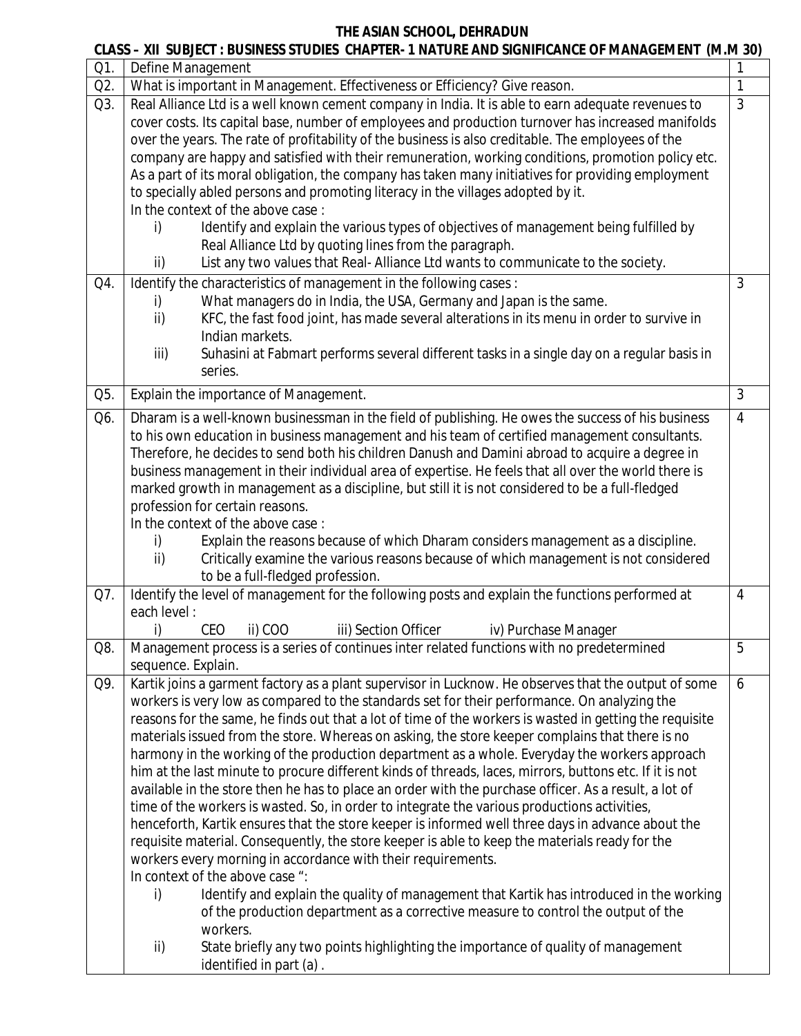### **CLASS – XII SUBJECT : BUSINESS STUDIES CHAPTER- 1 NATURE AND SIGNIFICANCE OF MANAGEMENT (M.M 30)** Q1. Define Management 1 Q2. What is important in Management. Effectiveness or Efficiency? Give reason. 1 Q3. Real Alliance Ltd is a well known cement company in India. It is able to earn adequate revenues to cover costs. Its capital base, number of employees and production turnover has increased manifolds over the years. The rate of profitability of the business is also creditable. The employees of the company are happy and satisfied with their remuneration, working conditions, promotion policy etc. As a part of its moral obligation, the company has taken many initiatives for providing employment to specially abled persons and promoting literacy in the villages adopted by it. In the context of the above case : i) Identify and explain the various types of objectives of management being fulfilled by Real Alliance Ltd by quoting lines from the paragraph. ii) List any two values that Real- Alliance Ltd wants to communicate to the society. 3  $Q4.$  Identify the characteristics of management in the following cases : i) What managers do in India, the USA, Germany and Japan is the same. ii) KFC, the fast food joint, has made several alterations in its menu in order to survive in Indian markets. iii) Suhasini at Fabmart performs several different tasks in a single day on a regular basis in series. 3 Q5. Explain the importance of Management. 2008 and 2008 and 2008 and 2008 and 3 Q6. Dharam is a well-known businessman in the field of publishing. He owes the success of his business to his own education in business management and his team of certified management consultants. Therefore, he decides to send both his children Danush and Damini abroad to acquire a degree in business management in their individual area of expertise. He feels that all over the world there is marked growth in management as a discipline, but still it is not considered to be a full-fledged profession for certain reasons. In the context of the above case : i) Explain the reasons because of which Dharam considers management as a discipline. ii) Critically examine the various reasons because of which management is not considered to be a full-fledged profession. 4 Q7. I Identify the level of management for the following posts and explain the functions performed at each level : i) CEO ii) COO iii) Section Officer iv) Purchase Manager 4 Q8. Management process is a series of continues inter related functions with no predetermined sequence. Explain. 5 Q9. Kartik joins a garment factory as a plant supervisor in Lucknow. He observes that the output of some workers is very low as compared to the standards set for their performance. On analyzing the reasons for the same, he finds out that a lot of time of the workers is wasted in getting the requisite materials issued from the store. Whereas on asking, the store keeper complains that there is no harmony in the working of the production department as a whole. Everyday the workers approach him at the last minute to procure different kinds of threads, laces, mirrors, buttons etc. If it is not available in the store then he has to place an order with the purchase officer. As a result, a lot of time of the workers is wasted. So, in order to integrate the various productions activities, henceforth, Kartik ensures that the store keeper is informed well three days in advance about the requisite material. Consequently, the store keeper is able to keep the materials ready for the workers every morning in accordance with their requirements. In context of the above case ": i) Identify and explain the quality of management that Kartik has introduced in the working of the production department as a corrective measure to control the output of the workers. 6

ii) State briefly any two points highlighting the importance of quality of management identified in part (a) .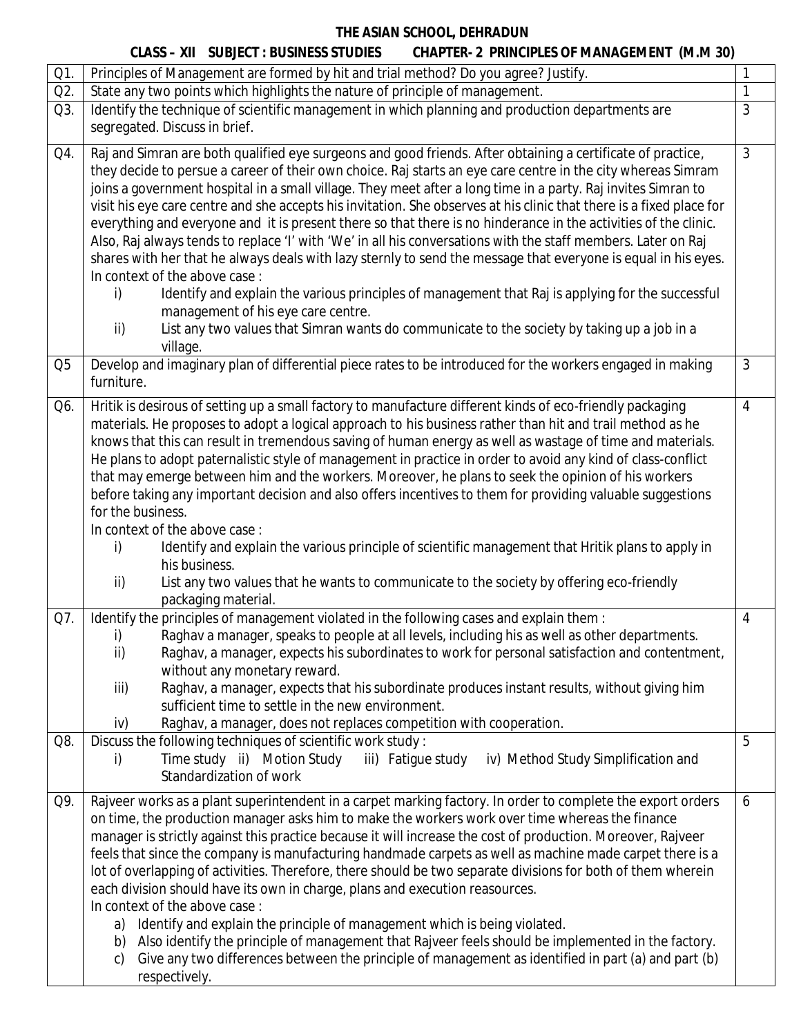|                | <b>CLASS – XII SUBJECT : BUSINESS STUDIES</b><br><b>CHAPTER- 2 PRINCIPLES OF MANAGEMENT (M.M 30)</b>                                                                                                                                                                                                                                         |                |
|----------------|----------------------------------------------------------------------------------------------------------------------------------------------------------------------------------------------------------------------------------------------------------------------------------------------------------------------------------------------|----------------|
| Q1.            | Principles of Management are formed by hit and trial method? Do you agree? Justify.                                                                                                                                                                                                                                                          |                |
| Q2.            | State any two points which highlights the nature of principle of management.                                                                                                                                                                                                                                                                 | 1              |
| Q3.            | Identify the technique of scientific management in which planning and production departments are                                                                                                                                                                                                                                             | 3              |
|                | segregated. Discuss in brief.                                                                                                                                                                                                                                                                                                                |                |
| Q4.            | Raj and Simran are both qualified eye surgeons and good friends. After obtaining a certificate of practice,<br>they decide to persue a career of their own choice. Raj starts an eye care centre in the city whereas Simram<br>joins a government hospital in a small village. They meet after a long time in a party. Raj invites Simran to | $\mathfrak{Z}$ |
|                | visit his eye care centre and she accepts his invitation. She observes at his clinic that there is a fixed place for<br>everything and everyone and it is present there so that there is no hinderance in the activities of the clinic.                                                                                                      |                |
|                | Also, Raj always tends to replace 'I' with 'We' in all his conversations with the staff members. Later on Raj                                                                                                                                                                                                                                |                |
|                | shares with her that he always deals with lazy sternly to send the message that everyone is equal in his eyes.<br>In context of the above case:                                                                                                                                                                                              |                |
|                | Identify and explain the various principles of management that Raj is applying for the successful<br>i)<br>management of his eye care centre.                                                                                                                                                                                                |                |
|                | ii)<br>List any two values that Simran wants do communicate to the society by taking up a job in a<br>village.                                                                                                                                                                                                                               |                |
| Q <sub>5</sub> | Develop and imaginary plan of differential piece rates to be introduced for the workers engaged in making<br>furniture.                                                                                                                                                                                                                      | 3              |
| Q6.            | Hritik is desirous of setting up a small factory to manufacture different kinds of eco-friendly packaging<br>materials. He proposes to adopt a logical approach to his business rather than hit and trail method as he                                                                                                                       | 4              |
|                | knows that this can result in tremendous saving of human energy as well as wastage of time and materials.                                                                                                                                                                                                                                    |                |
|                | He plans to adopt paternalistic style of management in practice in order to avoid any kind of class-conflict                                                                                                                                                                                                                                 |                |
|                | that may emerge between him and the workers. Moreover, he plans to seek the opinion of his workers                                                                                                                                                                                                                                           |                |
|                | before taking any important decision and also offers incentives to them for providing valuable suggestions                                                                                                                                                                                                                                   |                |
|                | for the business.                                                                                                                                                                                                                                                                                                                            |                |
|                | In context of the above case:                                                                                                                                                                                                                                                                                                                |                |
|                | Identify and explain the various principle of scientific management that Hritik plans to apply in<br>i)                                                                                                                                                                                                                                      |                |
|                | his business.<br>ii)<br>List any two values that he wants to communicate to the society by offering eco-friendly                                                                                                                                                                                                                             |                |
|                | packaging material.                                                                                                                                                                                                                                                                                                                          |                |
| Q7.            | Identify the principles of management violated in the following cases and explain them :                                                                                                                                                                                                                                                     | 4              |
|                | i) Raghav a manager, speaks to people at all levels, including his as well as other departments.                                                                                                                                                                                                                                             |                |
|                | ii)<br>Raghav, a manager, expects his subordinates to work for personal satisfaction and contentment,                                                                                                                                                                                                                                        |                |
|                | without any monetary reward.                                                                                                                                                                                                                                                                                                                 |                |
|                | iii)<br>Raghav, a manager, expects that his subordinate produces instant results, without giving him                                                                                                                                                                                                                                         |                |
|                | sufficient time to settle in the new environment.                                                                                                                                                                                                                                                                                            |                |
|                | iv)<br>Raghav, a manager, does not replaces competition with cooperation.                                                                                                                                                                                                                                                                    |                |
| Q8.            | Discuss the following techniques of scientific work study:                                                                                                                                                                                                                                                                                   | 5              |
|                | Time study ii) Motion Study<br>iii) Fatigue study<br>iv) Method Study Simplification and<br>i)<br>Standardization of work                                                                                                                                                                                                                    |                |
| Q9.            | Rajveer works as a plant superintendent in a carpet marking factory. In order to complete the export orders                                                                                                                                                                                                                                  | 6              |
|                | on time, the production manager asks him to make the workers work over time whereas the finance                                                                                                                                                                                                                                              |                |
|                | manager is strictly against this practice because it will increase the cost of production. Moreover, Rajveer                                                                                                                                                                                                                                 |                |
|                | feels that since the company is manufacturing handmade carpets as well as machine made carpet there is a                                                                                                                                                                                                                                     |                |
|                | lot of overlapping of activities. Therefore, there should be two separate divisions for both of them wherein                                                                                                                                                                                                                                 |                |
|                | each division should have its own in charge, plans and execution reasources.                                                                                                                                                                                                                                                                 |                |
|                | In context of the above case:                                                                                                                                                                                                                                                                                                                |                |
|                | a) Identify and explain the principle of management which is being violated.                                                                                                                                                                                                                                                                 |                |
|                | b) Also identify the principle of management that Rajveer feels should be implemented in the factory.<br>Give any two differences between the principle of management as identified in part (a) and part (b)<br>$\mathsf{C}$                                                                                                                 |                |
|                | respectively.                                                                                                                                                                                                                                                                                                                                |                |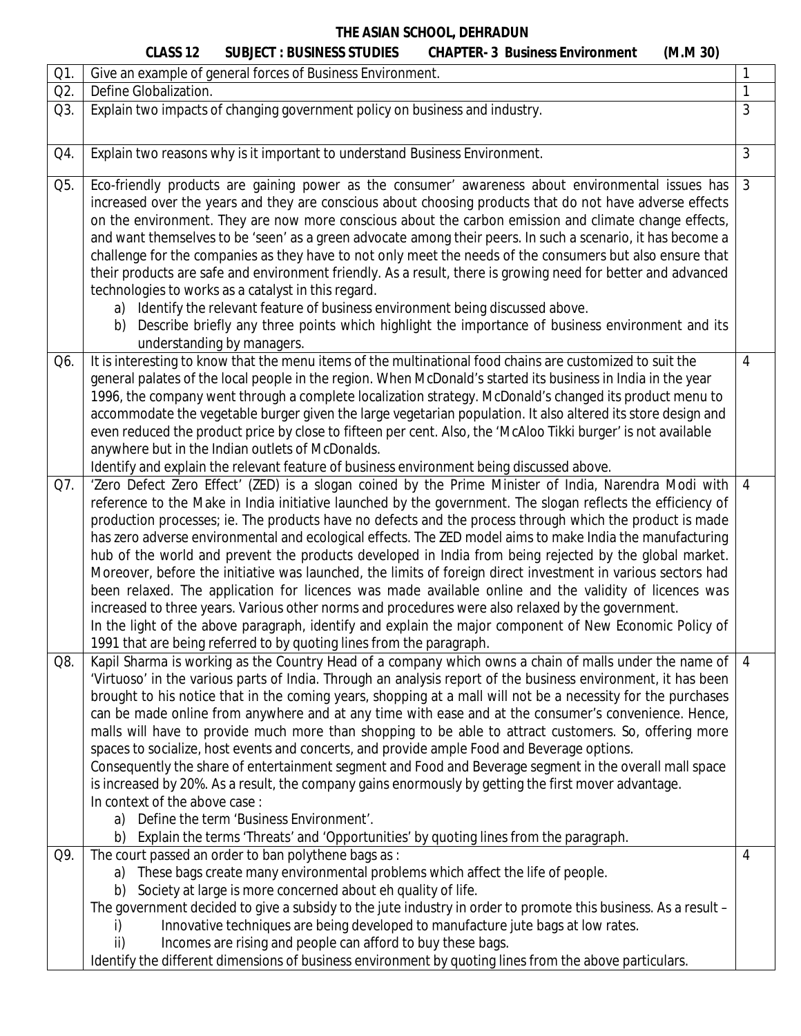|     | <b>CLASS 12</b>                     | <b>SUBJECT : BUSINESS STUDIES</b>                                                                                                                                                                                                                                           | <b>CHAPTER- 3 Business Environment</b>                                                                                                                                                                                                                                                                                                                                                                                                                                                                                                                                                                                                                                                                                                                                                                                                                                                                                                                                                           | (M.M.30)        |  |
|-----|-------------------------------------|-----------------------------------------------------------------------------------------------------------------------------------------------------------------------------------------------------------------------------------------------------------------------------|--------------------------------------------------------------------------------------------------------------------------------------------------------------------------------------------------------------------------------------------------------------------------------------------------------------------------------------------------------------------------------------------------------------------------------------------------------------------------------------------------------------------------------------------------------------------------------------------------------------------------------------------------------------------------------------------------------------------------------------------------------------------------------------------------------------------------------------------------------------------------------------------------------------------------------------------------------------------------------------------------|-----------------|--|
| Q1. |                                     | Give an example of general forces of Business Environment.                                                                                                                                                                                                                  |                                                                                                                                                                                                                                                                                                                                                                                                                                                                                                                                                                                                                                                                                                                                                                                                                                                                                                                                                                                                  | 1               |  |
| Q2. | Define Globalization.               |                                                                                                                                                                                                                                                                             |                                                                                                                                                                                                                                                                                                                                                                                                                                                                                                                                                                                                                                                                                                                                                                                                                                                                                                                                                                                                  | 1               |  |
| Q3. |                                     | Explain two impacts of changing government policy on business and industry.                                                                                                                                                                                                 |                                                                                                                                                                                                                                                                                                                                                                                                                                                                                                                                                                                                                                                                                                                                                                                                                                                                                                                                                                                                  | 3               |  |
| Q4. |                                     | Explain two reasons why is it important to understand Business Environment.                                                                                                                                                                                                 |                                                                                                                                                                                                                                                                                                                                                                                                                                                                                                                                                                                                                                                                                                                                                                                                                                                                                                                                                                                                  | $\mathfrak{Z}$  |  |
| Q5. | b)                                  | technologies to works as a catalyst in this regard.<br>a) Identify the relevant feature of business environment being discussed above.<br>understanding by managers.                                                                                                        | Eco-friendly products are gaining power as the consumer' awareness about environmental issues has<br>increased over the years and they are conscious about choosing products that do not have adverse effects<br>on the environment. They are now more conscious about the carbon emission and climate change effects,<br>and want themselves to be 'seen' as a green advocate among their peers. In such a scenario, it has become a<br>challenge for the companies as they have to not only meet the needs of the consumers but also ensure that<br>their products are safe and environment friendly. As a result, there is growing need for better and advanced<br>Describe briefly any three points which highlight the importance of business environment and its                                                                                                                                                                                                                           | $\mathfrak{Z}$  |  |
| Q6. |                                     | anywhere but in the Indian outlets of McDonalds.<br>Identify and explain the relevant feature of business environment being discussed above.                                                                                                                                | It is interesting to know that the menu items of the multinational food chains are customized to suit the<br>general palates of the local people in the region. When McDonald's started its business in India in the year<br>1996, the company went through a complete localization strategy. McDonald's changed its product menu to<br>accommodate the vegetable burger given the large vegetarian population. It also altered its store design and<br>even reduced the product price by close to fifteen per cent. Also, the 'McAloo Tikki burger' is not available                                                                                                                                                                                                                                                                                                                                                                                                                            | $\overline{4}$  |  |
| Q7. |                                     | 1991 that are being referred to by quoting lines from the paragraph.                                                                                                                                                                                                        | 'Zero Defect Zero Effect' (ZED) is a slogan coined by the Prime Minister of India, Narendra Modi with<br>reference to the Make in India initiative launched by the government. The slogan reflects the efficiency of<br>production processes; ie. The products have no defects and the process through which the product is made<br>has zero adverse environmental and ecological effects. The ZED model aims to make India the manufacturing<br>hub of the world and prevent the products developed in India from being rejected by the global market.<br>Moreover, before the initiative was launched, the limits of foreign direct investment in various sectors had<br>been relaxed. The application for licences was made available online and the validity of licences was<br>increased to three years. Various other norms and procedures were also relaxed by the government.<br>In the light of the above paragraph, identify and explain the major component of New Economic Policy of | $\overline{4}$  |  |
| Q8. | In context of the above case:<br>b) | a) Define the term 'Business Environment'.                                                                                                                                                                                                                                  | Kapil Sharma is working as the Country Head of a company which owns a chain of malls under the name of<br>'Virtuoso' in the various parts of India. Through an analysis report of the business environment, it has been<br>brought to his notice that in the coming years, shopping at a mall will not be a necessity for the purchases<br>can be made online from anywhere and at any time with ease and at the consumer's convenience. Hence,<br>malls will have to provide much more than shopping to be able to attract customers. So, offering more<br>spaces to socialize, host events and concerts, and provide ample Food and Beverage options.<br>Consequently the share of entertainment segment and Food and Beverage segment in the overall mall space<br>is increased by 20%. As a result, the company gains enormously by getting the first mover advantage.<br>Explain the terms 'Threats' and 'Opportunities' by quoting lines from the paragraph.                               | $\vert 4 \vert$ |  |
| Q9. | I)<br>ii)                           | The court passed an order to ban polythene bags as :<br>a) These bags create many environmental problems which affect the life of people.<br>b) Society at large is more concerned about eh quality of life.<br>Incomes are rising and people can afford to buy these bags. | The government decided to give a subsidy to the jute industry in order to promote this business. As a result -<br>Innovative techniques are being developed to manufacture jute bags at low rates.<br>Identify the different dimensions of business environment by quoting lines from the above particulars.                                                                                                                                                                                                                                                                                                                                                                                                                                                                                                                                                                                                                                                                                     | 4               |  |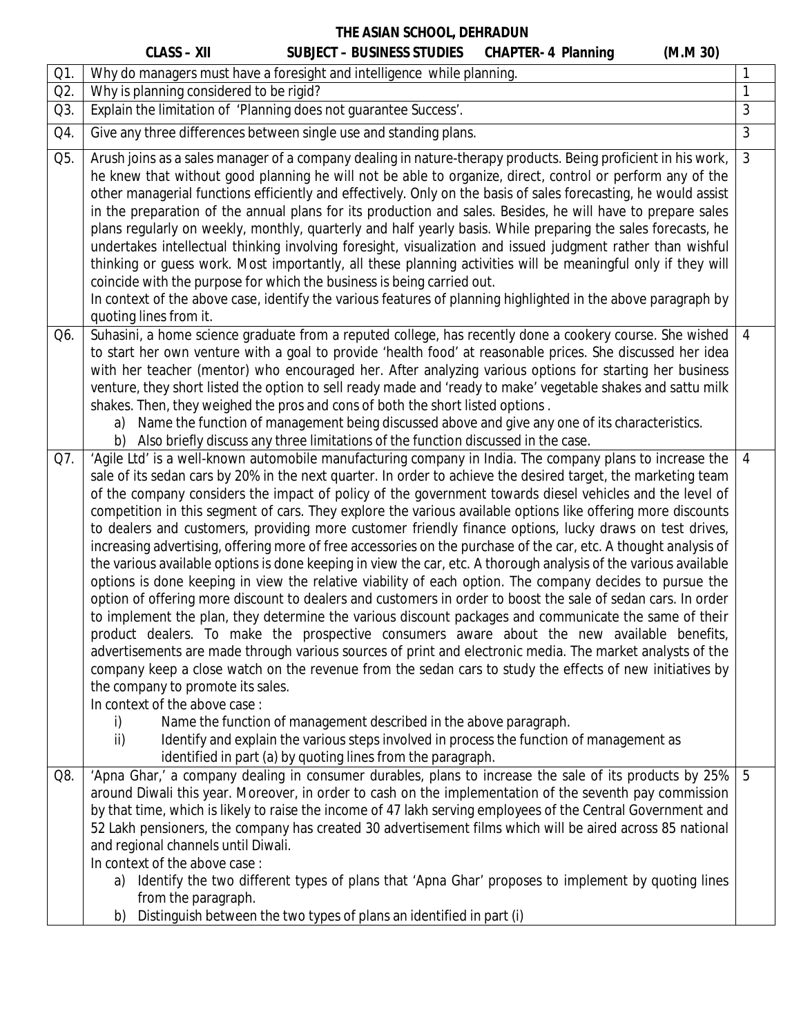|     | <b>CHAPTER- 4 Planning</b><br><b>CLASS - XII</b><br><b>SUBJECT - BUSINESS STUDIES</b><br>(M.M.30)                                                                                                                                                                                                                                                                                                                                                                                                                                                                                                                                                                                                                                                                                                                                                                                                                                                                                                                                                                                                                                                                                                                                                                                                                                                                                                                                                                                                                                                                                                                                                                                                                                                                                       |                |
|-----|-----------------------------------------------------------------------------------------------------------------------------------------------------------------------------------------------------------------------------------------------------------------------------------------------------------------------------------------------------------------------------------------------------------------------------------------------------------------------------------------------------------------------------------------------------------------------------------------------------------------------------------------------------------------------------------------------------------------------------------------------------------------------------------------------------------------------------------------------------------------------------------------------------------------------------------------------------------------------------------------------------------------------------------------------------------------------------------------------------------------------------------------------------------------------------------------------------------------------------------------------------------------------------------------------------------------------------------------------------------------------------------------------------------------------------------------------------------------------------------------------------------------------------------------------------------------------------------------------------------------------------------------------------------------------------------------------------------------------------------------------------------------------------------------|----------------|
| Q1. | Why do managers must have a foresight and intelligence while planning.                                                                                                                                                                                                                                                                                                                                                                                                                                                                                                                                                                                                                                                                                                                                                                                                                                                                                                                                                                                                                                                                                                                                                                                                                                                                                                                                                                                                                                                                                                                                                                                                                                                                                                                  | 1              |
| Q2. | Why is planning considered to be rigid?                                                                                                                                                                                                                                                                                                                                                                                                                                                                                                                                                                                                                                                                                                                                                                                                                                                                                                                                                                                                                                                                                                                                                                                                                                                                                                                                                                                                                                                                                                                                                                                                                                                                                                                                                 | $\mathbf{1}$   |
| Q3. | Explain the limitation of 'Planning does not guarantee Success'.                                                                                                                                                                                                                                                                                                                                                                                                                                                                                                                                                                                                                                                                                                                                                                                                                                                                                                                                                                                                                                                                                                                                                                                                                                                                                                                                                                                                                                                                                                                                                                                                                                                                                                                        | 3              |
| Q4. | Give any three differences between single use and standing plans.                                                                                                                                                                                                                                                                                                                                                                                                                                                                                                                                                                                                                                                                                                                                                                                                                                                                                                                                                                                                                                                                                                                                                                                                                                                                                                                                                                                                                                                                                                                                                                                                                                                                                                                       | $\mathfrak{Z}$ |
| Q5. | Arush joins as a sales manager of a company dealing in nature-therapy products. Being proficient in his work,<br>he knew that without good planning he will not be able to organize, direct, control or perform any of the<br>other managerial functions efficiently and effectively. Only on the basis of sales forecasting, he would assist<br>in the preparation of the annual plans for its production and sales. Besides, he will have to prepare sales<br>plans regularly on weekly, monthly, quarterly and half yearly basis. While preparing the sales forecasts, he<br>undertakes intellectual thinking involving foresight, visualization and issued judgment rather than wishful<br>thinking or guess work. Most importantly, all these planning activities will be meaningful only if they will<br>coincide with the purpose for which the business is being carried out.<br>In context of the above case, identify the various features of planning highlighted in the above paragraph by<br>quoting lines from it.                                                                                                                                                                                                                                                                                                                                                                                                                                                                                                                                                                                                                                                                                                                                                        | $\mathfrak{Z}$ |
| Q6. | Suhasini, a home science graduate from a reputed college, has recently done a cookery course. She wished<br>to start her own venture with a goal to provide 'health food' at reasonable prices. She discussed her idea<br>with her teacher (mentor) who encouraged her. After analyzing various options for starting her business<br>venture, they short listed the option to sell ready made and 'ready to make' vegetable shakes and sattu milk<br>shakes. Then, they weighed the pros and cons of both the short listed options.<br>Name the function of management being discussed above and give any one of its characteristics.<br>a)<br>Also briefly discuss any three limitations of the function discussed in the case.                                                                                                                                                                                                                                                                                                                                                                                                                                                                                                                                                                                                                                                                                                                                                                                                                                                                                                                                                                                                                                                        | $\overline{4}$ |
| Q7. | 'Agile Ltd' is a well-known automobile manufacturing company in India. The company plans to increase the<br>sale of its sedan cars by 20% in the next quarter. In order to achieve the desired target, the marketing team<br>of the company considers the impact of policy of the government towards diesel vehicles and the level of<br>competition in this segment of cars. They explore the various available options like offering more discounts<br>to dealers and customers, providing more customer friendly finance options, lucky draws on test drives,<br>increasing advertising, offering more of free accessories on the purchase of the car, etc. A thought analysis of<br>the various available options is done keeping in view the car, etc. A thorough analysis of the various available<br>options is done keeping in view the relative viability of each option. The company decides to pursue the<br>option of offering more discount to dealers and customers in order to boost the sale of sedan cars. In order<br>to implement the plan, they determine the various discount packages and communicate the same of their<br>product dealers. To make the prospective consumers aware about the new available benefits,<br>advertisements are made through various sources of print and electronic media. The market analysts of the<br>company keep a close watch on the revenue from the sedan cars to study the effects of new initiatives by<br>the company to promote its sales.<br>In context of the above case:<br>Name the function of management described in the above paragraph.<br>i)<br>Identify and explain the various steps involved in process the function of management as<br>ii)<br>identified in part (a) by quoting lines from the paragraph. | $\overline{4}$ |
| Q8. | 'Apna Ghar,' a company dealing in consumer durables, plans to increase the sale of its products by 25%<br>around Diwali this year. Moreover, in order to cash on the implementation of the seventh pay commission<br>by that time, which is likely to raise the income of 47 lakh serving employees of the Central Government and<br>52 Lakh pensioners, the company has created 30 advertisement films which will be aired across 85 national<br>and regional channels until Diwali.<br>In context of the above case:<br>Identify the two different types of plans that 'Apna Ghar' proposes to implement by quoting lines<br>a)<br>from the paragraph.<br>Distinguish between the two types of plans an identified in part (i)<br>b)                                                                                                                                                                                                                                                                                                                                                                                                                                                                                                                                                                                                                                                                                                                                                                                                                                                                                                                                                                                                                                                  | 5              |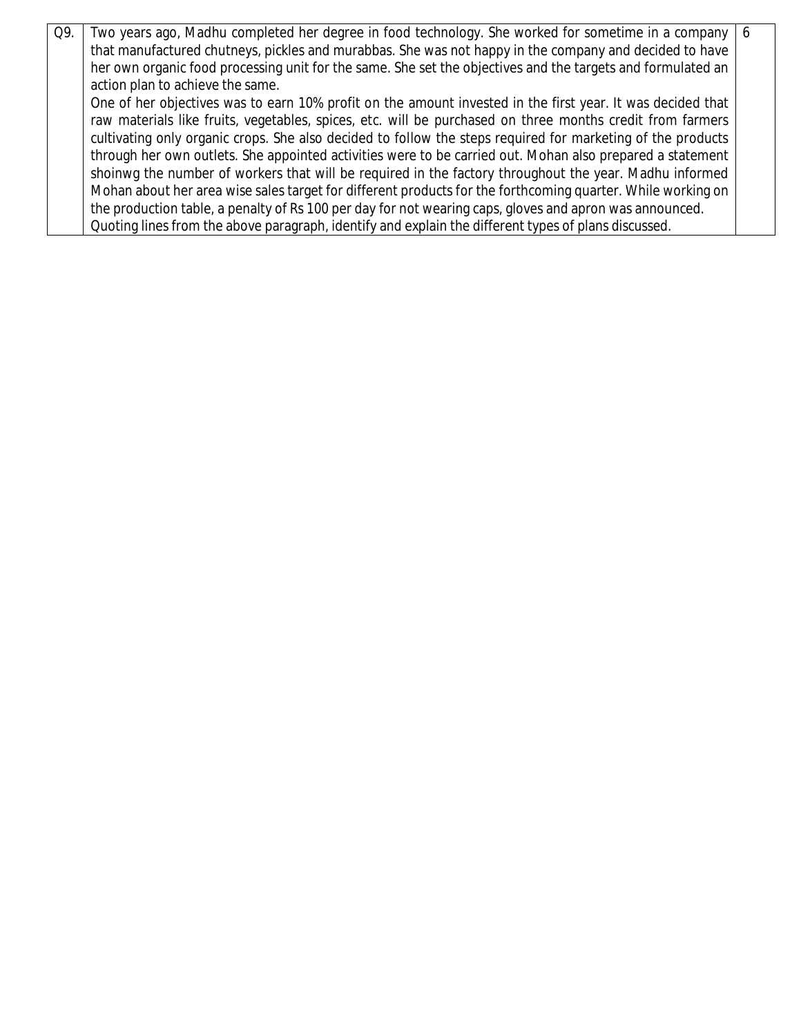Q9. Two years ago, Madhu completed her degree in food technology. She worked for sometime in a company that manufactured chutneys, pickles and murabbas. She was not happy in the company and decided to have her own organic food processing unit for the same. She set the objectives and the targets and formulated an action plan to achieve the same. One of her objectives was to earn 10% profit on the amount invested in the first year. It was decided that raw materials like fruits, vegetables, spices, etc. will be purchased on three months credit from farmers cultivating only organic crops. She also decided to follow the steps required for marketing of the products through her own outlets. She appointed activities were to be carried out. Mohan also prepared a statement shoinwg the number of workers that will be required in the factory throughout the year. Madhu informed Mohan about her area wise sales target for different products for the forthcoming quarter. While working on the production table, a penalty of Rs 100 per day for not wearing caps, gloves and apron was announced. Quoting lines from the above paragraph, identify and explain the different types of plans discussed. 6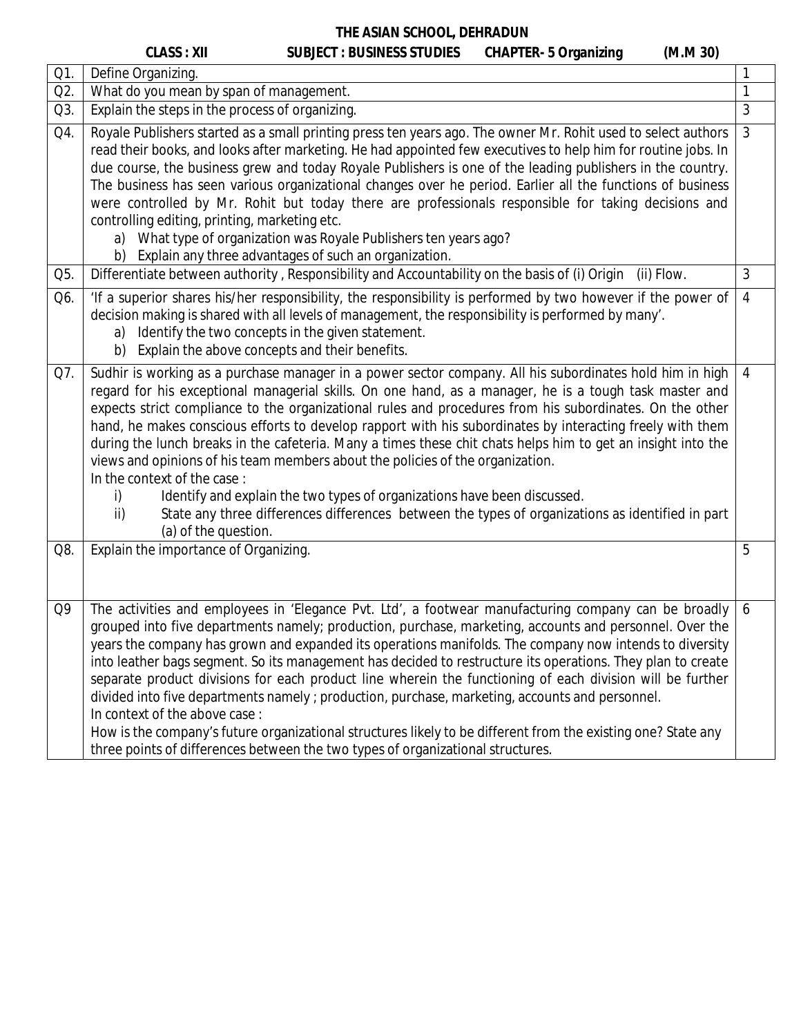| π            | II |  |
|--------------|----|--|
| ΔS<br>↖<br>◝ | 1  |  |
|              |    |  |

# **CLASS : XII SUBJECT : BUSINESS STUDIES CHAPTER-** 5 Organizing

| (M.M 30) |
|----------|
|----------|

| Q1. | Define Organizing.                                                                                                                                                                                                                                                                                                                                                                                                                                                                                                                                                                                                                                                                                                                                                                                                                                                                                | 1              |
|-----|---------------------------------------------------------------------------------------------------------------------------------------------------------------------------------------------------------------------------------------------------------------------------------------------------------------------------------------------------------------------------------------------------------------------------------------------------------------------------------------------------------------------------------------------------------------------------------------------------------------------------------------------------------------------------------------------------------------------------------------------------------------------------------------------------------------------------------------------------------------------------------------------------|----------------|
| Q2. | What do you mean by span of management.                                                                                                                                                                                                                                                                                                                                                                                                                                                                                                                                                                                                                                                                                                                                                                                                                                                           | $\mathbf{1}$   |
| Q3. | Explain the steps in the process of organizing.                                                                                                                                                                                                                                                                                                                                                                                                                                                                                                                                                                                                                                                                                                                                                                                                                                                   | $\mathfrak{Z}$ |
| Q4. | Royale Publishers started as a small printing press ten years ago. The owner Mr. Rohit used to select authors<br>read their books, and looks after marketing. He had appointed few executives to help him for routine jobs. In<br>due course, the business grew and today Royale Publishers is one of the leading publishers in the country.<br>The business has seen various organizational changes over he period. Earlier all the functions of business<br>were controlled by Mr. Rohit but today there are professionals responsible for taking decisions and<br>controlling editing, printing, marketing etc.<br>a) What type of organization was Royale Publishers ten years ago?<br>b) Explain any three advantages of such an organization.                                                                                                                                               | $\mathfrak{Z}$ |
| Q5. | Differentiate between authority, Responsibility and Accountability on the basis of (i) Origin (ii) Flow.                                                                                                                                                                                                                                                                                                                                                                                                                                                                                                                                                                                                                                                                                                                                                                                          | 3              |
| Q6. | 'If a superior shares his/her responsibility, the responsibility is performed by two however if the power of<br>decision making is shared with all levels of management, the responsibility is performed by many'.<br>Identify the two concepts in the given statement.<br>a)<br>b) Explain the above concepts and their benefits.                                                                                                                                                                                                                                                                                                                                                                                                                                                                                                                                                                | $\overline{4}$ |
| Q7. | Sudhir is working as a purchase manager in a power sector company. All his subordinates hold him in high<br>regard for his exceptional managerial skills. On one hand, as a manager, he is a tough task master and<br>expects strict compliance to the organizational rules and procedures from his subordinates. On the other<br>hand, he makes conscious efforts to develop rapport with his subordinates by interacting freely with them<br>during the lunch breaks in the cafeteria. Many a times these chit chats helps him to get an insight into the<br>views and opinions of his team members about the policies of the organization.<br>In the context of the case:<br>Identify and explain the two types of organizations have been discussed.<br>i)<br>State any three differences differences between the types of organizations as identified in part<br>ii)<br>(a) of the question. | $\overline{4}$ |
| Q8. | Explain the importance of Organizing.                                                                                                                                                                                                                                                                                                                                                                                                                                                                                                                                                                                                                                                                                                                                                                                                                                                             | 5              |
| Q9  | The activities and employees in 'Elegance Pvt. Ltd', a footwear manufacturing company can be broadly<br>grouped into five departments namely; production, purchase, marketing, accounts and personnel. Over the<br>years the company has grown and expanded its operations manifolds. The company now intends to diversity<br>into leather bags segment. So its management has decided to restructure its operations. They plan to create<br>separate product divisions for each product line wherein the functioning of each division will be further<br>divided into five departments namely; production, purchase, marketing, accounts and personnel.<br>In context of the above case:<br>How is the company's future organizational structures likely to be different from the existing one? State any<br>three points of differences between the two types of organizational structures.     | 6              |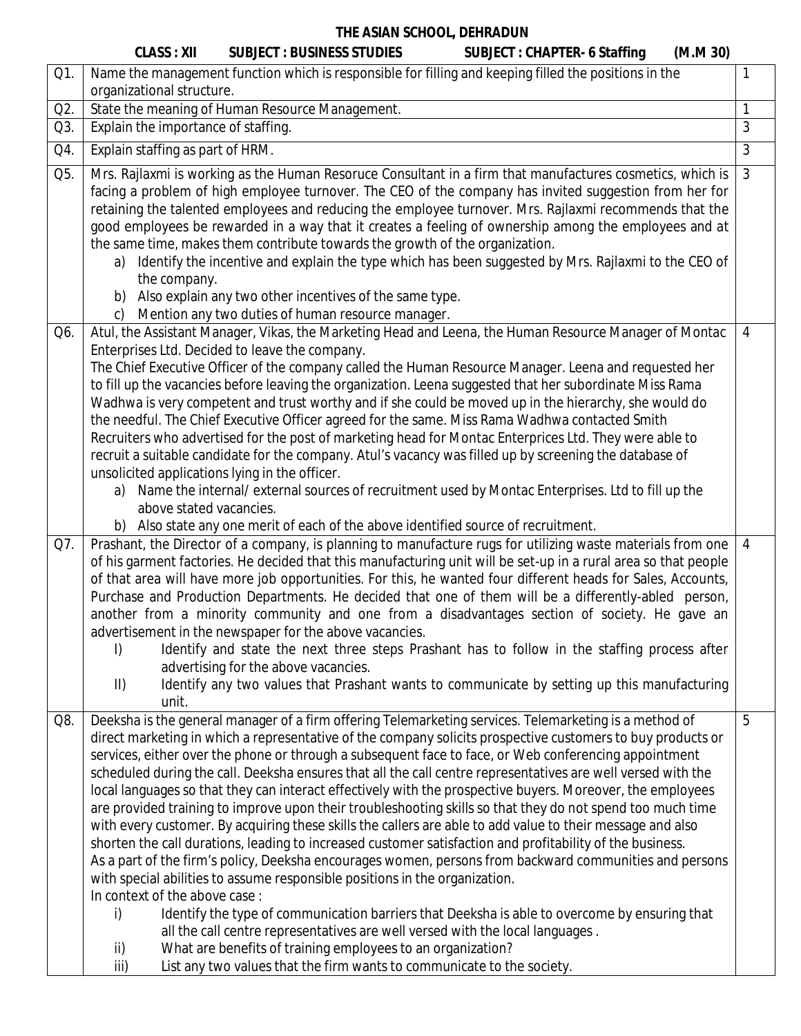|     | <b>CLASS: XII</b>                              | <b>SUBJECT : BUSINESS STUDIES</b>                                                  | <b>SUBJECT: CHAPTER- 6 Staffing</b>                                                                                                                                                                                        | (M.M.30) |                |
|-----|------------------------------------------------|------------------------------------------------------------------------------------|----------------------------------------------------------------------------------------------------------------------------------------------------------------------------------------------------------------------------|----------|----------------|
| Q1. |                                                |                                                                                    | Name the management function which is responsible for filling and keeping filled the positions in the                                                                                                                      |          | $\mathbf{1}$   |
|     | organizational structure.                      |                                                                                    |                                                                                                                                                                                                                            |          |                |
| Q2. |                                                | State the meaning of Human Resource Management.                                    |                                                                                                                                                                                                                            |          | $\mathbf{1}$   |
| Q3. | Explain the importance of staffing.            |                                                                                    |                                                                                                                                                                                                                            |          | 3              |
| Q4. | Explain staffing as part of HRM.               |                                                                                    |                                                                                                                                                                                                                            |          | $\overline{3}$ |
| Q5. |                                                |                                                                                    | Mrs. Rajlaxmi is working as the Human Resoruce Consultant in a firm that manufactures cosmetics, which is                                                                                                                  |          | $\mathfrak{Z}$ |
|     |                                                |                                                                                    | facing a problem of high employee turnover. The CEO of the company has invited suggestion from her for                                                                                                                     |          |                |
|     |                                                |                                                                                    | retaining the talented employees and reducing the employee turnover. Mrs. Rajlaxmi recommends that the                                                                                                                     |          |                |
|     |                                                |                                                                                    | good employees be rewarded in a way that it creates a feeling of ownership among the employees and at                                                                                                                      |          |                |
|     |                                                | the same time, makes them contribute towards the growth of the organization.       |                                                                                                                                                                                                                            |          |                |
|     | a)<br>the company.                             |                                                                                    | Identify the incentive and explain the type which has been suggested by Mrs. Rajlaxmi to the CEO of                                                                                                                        |          |                |
|     |                                                | b) Also explain any two other incentives of the same type.                         |                                                                                                                                                                                                                            |          |                |
|     | $\mathsf{C}$                                   | Mention any two duties of human resource manager.                                  |                                                                                                                                                                                                                            |          |                |
| Q6. |                                                |                                                                                    | Atul, the Assistant Manager, Vikas, the Marketing Head and Leena, the Human Resource Manager of Montac                                                                                                                     |          | 4              |
|     |                                                | Enterprises Ltd. Decided to leave the company.                                     |                                                                                                                                                                                                                            |          |                |
|     |                                                |                                                                                    | The Chief Executive Officer of the company called the Human Resource Manager. Leena and requested her                                                                                                                      |          |                |
|     |                                                |                                                                                    | to fill up the vacancies before leaving the organization. Leena suggested that her subordinate Miss Rama                                                                                                                   |          |                |
|     |                                                |                                                                                    | Wadhwa is very competent and trust worthy and if she could be moved up in the hierarchy, she would do                                                                                                                      |          |                |
|     |                                                |                                                                                    | the needful. The Chief Executive Officer agreed for the same. Miss Rama Wadhwa contacted Smith                                                                                                                             |          |                |
|     |                                                |                                                                                    | Recruiters who advertised for the post of marketing head for Montac Enterprices Ltd. They were able to                                                                                                                     |          |                |
|     | unsolicited applications lying in the officer. |                                                                                    | recruit a suitable candidate for the company. Atul's vacancy was filled up by screening the database of                                                                                                                    |          |                |
|     | a)                                             |                                                                                    | Name the internal/external sources of recruitment used by Montac Enterprises. Ltd to fill up the                                                                                                                           |          |                |
|     | above stated vacancies.                        |                                                                                    |                                                                                                                                                                                                                            |          |                |
|     |                                                | b) Also state any one merit of each of the above identified source of recruitment. |                                                                                                                                                                                                                            |          |                |
| Q7. |                                                |                                                                                    | Prashant, the Director of a company, is planning to manufacture rugs for utilizing waste materials from one                                                                                                                |          | $\overline{4}$ |
|     |                                                |                                                                                    | of his garment factories. He decided that this manufacturing unit will be set-up in a rural area so that people                                                                                                            |          |                |
|     |                                                |                                                                                    | of that area will have more job opportunities. For this, he wanted four different heads for Sales, Accounts,                                                                                                               |          |                |
|     |                                                |                                                                                    | Purchase and Production Departments. He decided that one of them will be a differently-abled person,                                                                                                                       |          |                |
|     |                                                | advertisement in the newspaper for the above vacancies.                            | another from a minority community and one from a disadvantages section of society. He gave an                                                                                                                              |          |                |
|     | I)                                             |                                                                                    | Identify and state the next three steps Prashant has to follow in the staffing process after                                                                                                                               |          |                |
|     |                                                | advertising for the above vacancies.                                               |                                                                                                                                                                                                                            |          |                |
|     | $\parallel$                                    |                                                                                    | Identify any two values that Prashant wants to communicate by setting up this manufacturing                                                                                                                                |          |                |
|     | unit.                                          |                                                                                    |                                                                                                                                                                                                                            |          |                |
| Q8. |                                                |                                                                                    | Deeksha is the general manager of a firm offering Telemarketing services. Telemarketing is a method of                                                                                                                     |          | 5              |
|     |                                                |                                                                                    | direct marketing in which a representative of the company solicits prospective customers to buy products or                                                                                                                |          |                |
|     |                                                |                                                                                    | services, either over the phone or through a subsequent face to face, or Web conferencing appointment                                                                                                                      |          |                |
|     |                                                |                                                                                    | scheduled during the call. Deeksha ensures that all the call centre representatives are well versed with the<br>local languages so that they can interact effectively with the prospective buyers. Moreover, the employees |          |                |
|     |                                                |                                                                                    | are provided training to improve upon their troubleshooting skills so that they do not spend too much time                                                                                                                 |          |                |
|     |                                                |                                                                                    | with every customer. By acquiring these skills the callers are able to add value to their message and also                                                                                                                 |          |                |
|     |                                                |                                                                                    | shorten the call durations, leading to increased customer satisfaction and profitability of the business.                                                                                                                  |          |                |
|     |                                                |                                                                                    | As a part of the firm's policy, Deeksha encourages women, persons from backward communities and persons                                                                                                                    |          |                |
|     |                                                | with special abilities to assume responsible positions in the organization.        |                                                                                                                                                                                                                            |          |                |
|     | In context of the above case:                  |                                                                                    |                                                                                                                                                                                                                            |          |                |
|     | i)                                             |                                                                                    | Identify the type of communication barriers that Deeksha is able to overcome by ensuring that                                                                                                                              |          |                |
|     |                                                | all the call centre representatives are well versed with the local languages.      |                                                                                                                                                                                                                            |          |                |
|     | ii)                                            | What are benefits of training employees to an organization?                        |                                                                                                                                                                                                                            |          |                |
|     | iii)                                           | List any two values that the firm wants to communicate to the society.             |                                                                                                                                                                                                                            |          |                |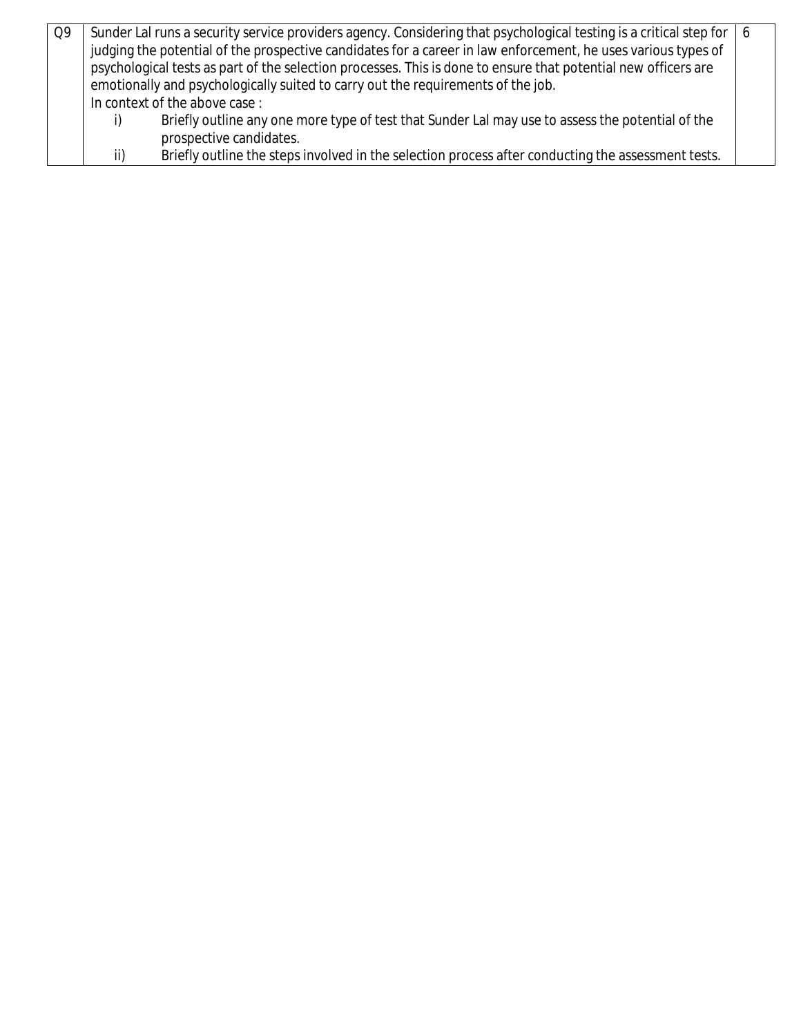| Q9 |     | Sunder Lal runs a security service providers agency. Considering that psychological testing is a critical step for   6 |  |
|----|-----|------------------------------------------------------------------------------------------------------------------------|--|
|    |     | judging the potential of the prospective candidates for a career in law enforcement, he uses various types of          |  |
|    |     | psychological tests as part of the selection processes. This is done to ensure that potential new officers are         |  |
|    |     | emotionally and psychologically suited to carry out the requirements of the job.                                       |  |
|    |     | In context of the above case:                                                                                          |  |
|    |     | Briefly outline any one more type of test that Sunder Lal may use to assess the potential of the                       |  |
|    |     | prospective candidates.                                                                                                |  |
|    | ii) | Briefly outline the steps involved in the selection process after conducting the assessment tests.                     |  |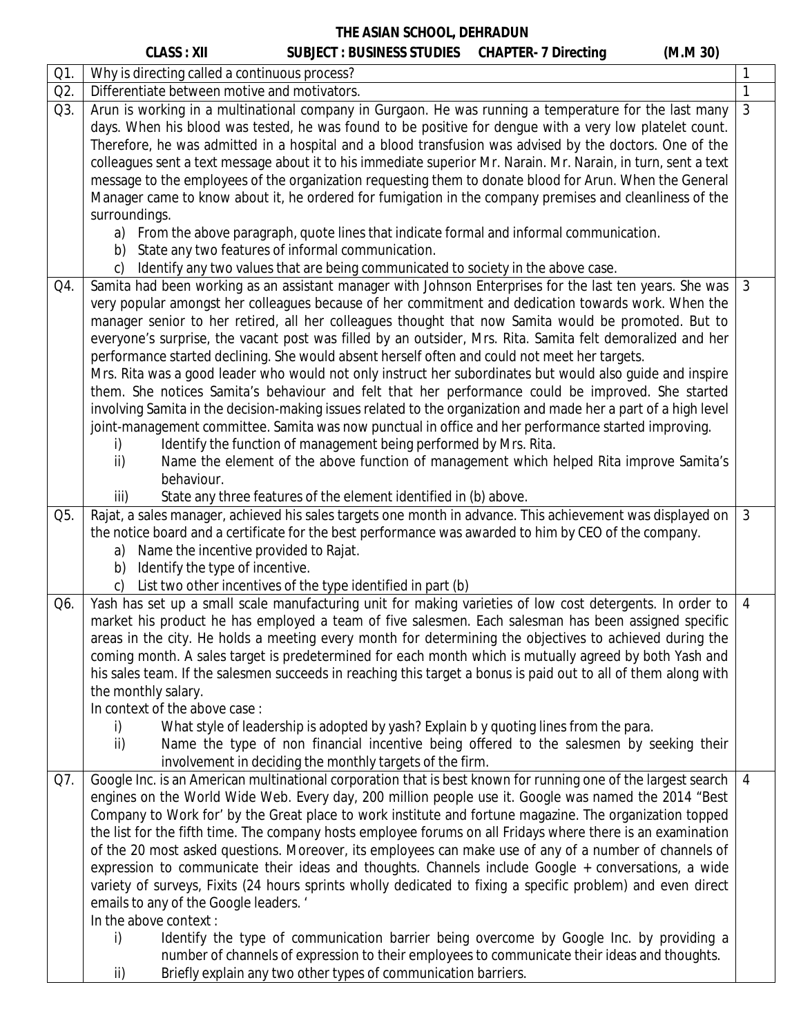|     | <b>CLASS: XII</b><br>SUBJECT : BUSINESS STUDIES CHAPTER- 7 Directing                                           |  | (M.M.30) |                |
|-----|----------------------------------------------------------------------------------------------------------------|--|----------|----------------|
| Q1. | Why is directing called a continuous process?                                                                  |  |          |                |
| Q2. | Differentiate between motive and motivators.                                                                   |  |          | $\mathbf{1}$   |
| Q3. | Arun is working in a multinational company in Gurgaon. He was running a temperature for the last many          |  |          | 3              |
|     | days. When his blood was tested, he was found to be positive for dengue with a very low platelet count.        |  |          |                |
|     | Therefore, he was admitted in a hospital and a blood transfusion was advised by the doctors. One of the        |  |          |                |
|     | colleagues sent a text message about it to his immediate superior Mr. Narain. Mr. Narain, in turn, sent a text |  |          |                |
|     | message to the employees of the organization requesting them to donate blood for Arun. When the General        |  |          |                |
|     | Manager came to know about it, he ordered for fumigation in the company premises and cleanliness of the        |  |          |                |
|     | surroundings.                                                                                                  |  |          |                |
|     | a) From the above paragraph, quote lines that indicate formal and informal communication.                      |  |          |                |
|     | b) State any two features of informal communication.                                                           |  |          |                |
|     | Identify any two values that are being communicated to society in the above case.<br>C)                        |  |          |                |
| Q4. | Samita had been working as an assistant manager with Johnson Enterprises for the last ten years. She was       |  |          | 3              |
|     | very popular amongst her colleagues because of her commitment and dedication towards work. When the            |  |          |                |
|     | manager senior to her retired, all her colleagues thought that now Samita would be promoted. But to            |  |          |                |
|     | everyone's surprise, the vacant post was filled by an outsider, Mrs. Rita. Samita felt demoralized and her     |  |          |                |
|     | performance started declining. She would absent herself often and could not meet her targets.                  |  |          |                |
|     | Mrs. Rita was a good leader who would not only instruct her subordinates but would also guide and inspire      |  |          |                |
|     | them. She notices Samita's behaviour and felt that her performance could be improved. She started              |  |          |                |
|     | involving Samita in the decision-making issues related to the organization and made her a part of a high level |  |          |                |
|     | joint-management committee. Samita was now punctual in office and her performance started improving.           |  |          |                |
|     | Identify the function of management being performed by Mrs. Rita.<br>i)                                        |  |          |                |
|     | Name the element of the above function of management which helped Rita improve Samita's<br>ii)                 |  |          |                |
|     | behaviour.                                                                                                     |  |          |                |
|     | iii)<br>State any three features of the element identified in (b) above.                                       |  |          |                |
| Q5. | Rajat, a sales manager, achieved his sales targets one month in advance. This achievement was displayed on     |  |          | 3              |
|     | the notice board and a certificate for the best performance was awarded to him by CEO of the company.          |  |          |                |
|     | a) Name the incentive provided to Rajat.                                                                       |  |          |                |
|     | b) Identify the type of incentive.                                                                             |  |          |                |
|     | c) List two other incentives of the type identified in part (b)                                                |  |          |                |
| Q6. | Yash has set up a small scale manufacturing unit for making varieties of low cost detergents. In order to      |  |          | $\overline{4}$ |
|     | market his product he has employed a team of five salesmen. Each salesman has been assigned specific           |  |          |                |
|     | areas in the city. He holds a meeting every month for determining the objectives to achieved during the        |  |          |                |
|     | coming month. A sales target is predetermined for each month which is mutually agreed by both Yash and         |  |          |                |
|     | his sales team. If the salesmen succeeds in reaching this target a bonus is paid out to all of them along with |  |          |                |
|     | the monthly salary.                                                                                            |  |          |                |
|     | In context of the above case:                                                                                  |  |          |                |
|     | What style of leadership is adopted by yash? Explain b y quoting lines from the para.<br>i)                    |  |          |                |
|     | Name the type of non financial incentive being offered to the salesmen by seeking their<br>ii)                 |  |          |                |
|     | involvement in deciding the monthly targets of the firm.                                                       |  |          |                |
| Q7. | Google Inc. is an American multinational corporation that is best known for running one of the largest search  |  |          | $\overline{4}$ |
|     | engines on the World Wide Web. Every day, 200 million people use it. Google was named the 2014 "Best           |  |          |                |
|     | Company to Work for' by the Great place to work institute and fortune magazine. The organization topped        |  |          |                |
|     | the list for the fifth time. The company hosts employee forums on all Fridays where there is an examination    |  |          |                |
|     | of the 20 most asked questions. Moreover, its employees can make use of any of a number of channels of         |  |          |                |
|     | expression to communicate their ideas and thoughts. Channels include Google + conversations, a wide            |  |          |                |
|     | variety of surveys, Fixits (24 hours sprints wholly dedicated to fixing a specific problem) and even direct    |  |          |                |
|     | emails to any of the Google leaders. '                                                                         |  |          |                |
|     | In the above context:                                                                                          |  |          |                |
|     | Identify the type of communication barrier being overcome by Google Inc. by providing a<br>i)                  |  |          |                |
|     | number of channels of expression to their employees to communicate their ideas and thoughts.                   |  |          |                |
|     | Briefly explain any two other types of communication barriers.<br>ii)                                          |  |          |                |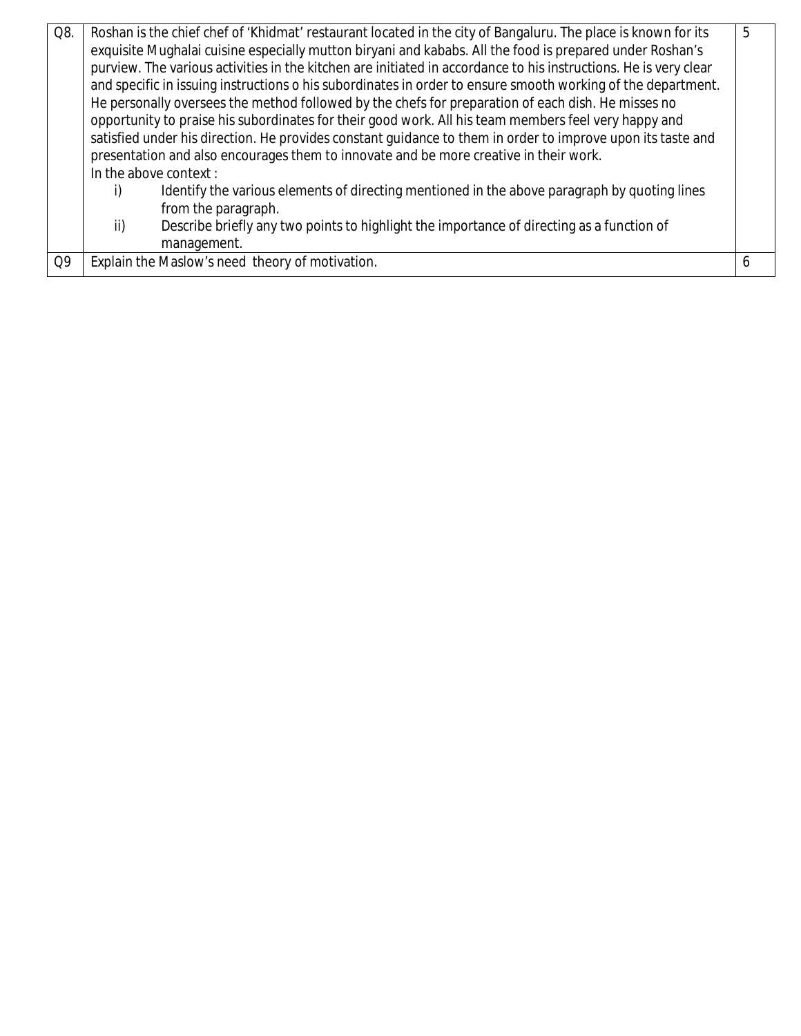| Q8.            | Roshan is the chief chef of 'Khidmat' restaurant located in the city of Bangaluru. The place is known for its<br>exquisite Mughalai cuisine especially mutton biryani and kababs. All the food is prepared under Roshan's<br>purview. The various activities in the kitchen are initiated in accordance to his instructions. He is very clear<br>and specific in issuing instructions o his subordinates in order to ensure smooth working of the department.<br>He personally oversees the method followed by the chefs for preparation of each dish. He misses no<br>opportunity to praise his subordinates for their good work. All his team members feel very happy and<br>satisfied under his direction. He provides constant guidance to them in order to improve upon its taste and<br>presentation and also encourages them to innovate and be more creative in their work.<br>In the above context:<br>Identify the various elements of directing mentioned in the above paragraph by quoting lines<br>from the paragraph.<br>Describe briefly any two points to highlight the importance of directing as a function of<br>ii)<br>management. | 5 |
|----------------|--------------------------------------------------------------------------------------------------------------------------------------------------------------------------------------------------------------------------------------------------------------------------------------------------------------------------------------------------------------------------------------------------------------------------------------------------------------------------------------------------------------------------------------------------------------------------------------------------------------------------------------------------------------------------------------------------------------------------------------------------------------------------------------------------------------------------------------------------------------------------------------------------------------------------------------------------------------------------------------------------------------------------------------------------------------------------------------------------------------------------------------------------------|---|
| Q <sub>9</sub> | Explain the Maslow's need theory of motivation.                                                                                                                                                                                                                                                                                                                                                                                                                                                                                                                                                                                                                                                                                                                                                                                                                                                                                                                                                                                                                                                                                                        | 6 |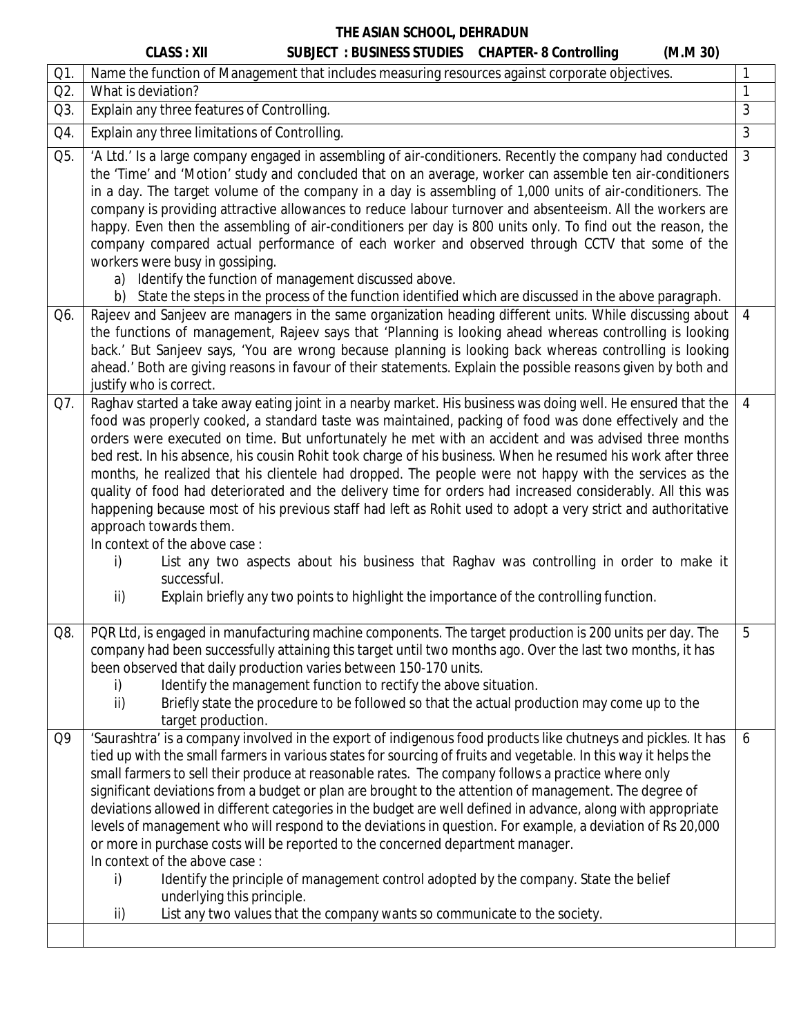|           | <b>CLASS: XII</b><br>(M.M.30)<br><b>SUBJECT : BUSINESS STUDIES CHAPTER-8 Controlling</b>                                                                                                                                                                                                                                                                                                                                                                                                                                                                                                                                                                                                                                                                                                                                                                                                                                                                                                                                                                             |                |
|-----------|----------------------------------------------------------------------------------------------------------------------------------------------------------------------------------------------------------------------------------------------------------------------------------------------------------------------------------------------------------------------------------------------------------------------------------------------------------------------------------------------------------------------------------------------------------------------------------------------------------------------------------------------------------------------------------------------------------------------------------------------------------------------------------------------------------------------------------------------------------------------------------------------------------------------------------------------------------------------------------------------------------------------------------------------------------------------|----------------|
| $Q1$ .    | Name the function of Management that includes measuring resources against corporate objectives.                                                                                                                                                                                                                                                                                                                                                                                                                                                                                                                                                                                                                                                                                                                                                                                                                                                                                                                                                                      | 1              |
| Q2.       | What is deviation?                                                                                                                                                                                                                                                                                                                                                                                                                                                                                                                                                                                                                                                                                                                                                                                                                                                                                                                                                                                                                                                   | 1              |
| Q3.       | Explain any three features of Controlling.                                                                                                                                                                                                                                                                                                                                                                                                                                                                                                                                                                                                                                                                                                                                                                                                                                                                                                                                                                                                                           | 3              |
| Q4.       | Explain any three limitations of Controlling.                                                                                                                                                                                                                                                                                                                                                                                                                                                                                                                                                                                                                                                                                                                                                                                                                                                                                                                                                                                                                        | 3              |
| Q5.       | 'A Ltd.' Is a large company engaged in assembling of air-conditioners. Recently the company had conducted<br>the 'Time' and 'Motion' study and concluded that on an average, worker can assemble ten air-conditioners<br>in a day. The target volume of the company in a day is assembling of 1,000 units of air-conditioners. The<br>company is providing attractive allowances to reduce labour turnover and absenteeism. All the workers are<br>happy. Even then the assembling of air-conditioners per day is 800 units only. To find out the reason, the<br>company compared actual performance of each worker and observed through CCTV that some of the<br>workers were busy in gossiping.<br>Identify the function of management discussed above.<br>a)<br>b) State the steps in the process of the function identified which are discussed in the above paragraph.                                                                                                                                                                                          | $\mathfrak{Z}$ |
| Q6.       | Rajeev and Sanjeev are managers in the same organization heading different units. While discussing about<br>the functions of management, Rajeev says that 'Planning is looking ahead whereas controlling is looking<br>back.' But Sanjeev says, 'You are wrong because planning is looking back whereas controlling is looking<br>ahead.' Both are giving reasons in favour of their statements. Explain the possible reasons given by both and<br>justify who is correct.                                                                                                                                                                                                                                                                                                                                                                                                                                                                                                                                                                                           | $\overline{4}$ |
| Q7.       | Raghav started a take away eating joint in a nearby market. His business was doing well. He ensured that the<br>food was properly cooked, a standard taste was maintained, packing of food was done effectively and the<br>orders were executed on time. But unfortunately he met with an accident and was advised three months<br>bed rest. In his absence, his cousin Rohit took charge of his business. When he resumed his work after three<br>months, he realized that his clientele had dropped. The people were not happy with the services as the<br>quality of food had deteriorated and the delivery time for orders had increased considerably. All this was<br>happening because most of his previous staff had left as Rohit used to adopt a very strict and authoritative<br>approach towards them.<br>In context of the above case:<br>List any two aspects about his business that Raghav was controlling in order to make it<br>i)<br>successful.<br>ii)<br>Explain briefly any two points to highlight the importance of the controlling function. | $\overline{4}$ |
| Q8.<br>Q9 | PQR Ltd, is engaged in manufacturing machine components. The target production is 200 units per day. The<br>company had been successfully attaining this target until two months ago. Over the last two months, it has<br>been observed that daily production varies between 150-170 units.<br>Identify the management function to rectify the above situation.<br>i)<br>Briefly state the procedure to be followed so that the actual production may come up to the<br>ii)<br>target production.<br>'Saurashtra' is a company involved in the export of indigenous food products like chutneys and pickles. It has<br>tied up with the small farmers in various states for sourcing of fruits and vegetable. In this way it helps the<br>small farmers to sell their produce at reasonable rates. The company follows a practice where only                                                                                                                                                                                                                         | ხ<br>6         |
|           | significant deviations from a budget or plan are brought to the attention of management. The degree of<br>deviations allowed in different categories in the budget are well defined in advance, along with appropriate<br>levels of management who will respond to the deviations in question. For example, a deviation of Rs 20,000<br>or more in purchase costs will be reported to the concerned department manager.<br>In context of the above case:<br>Identify the principle of management control adopted by the company. State the belief<br>i)<br>underlying this principle.<br>List any two values that the company wants so communicate to the society.<br>ii)                                                                                                                                                                                                                                                                                                                                                                                            |                |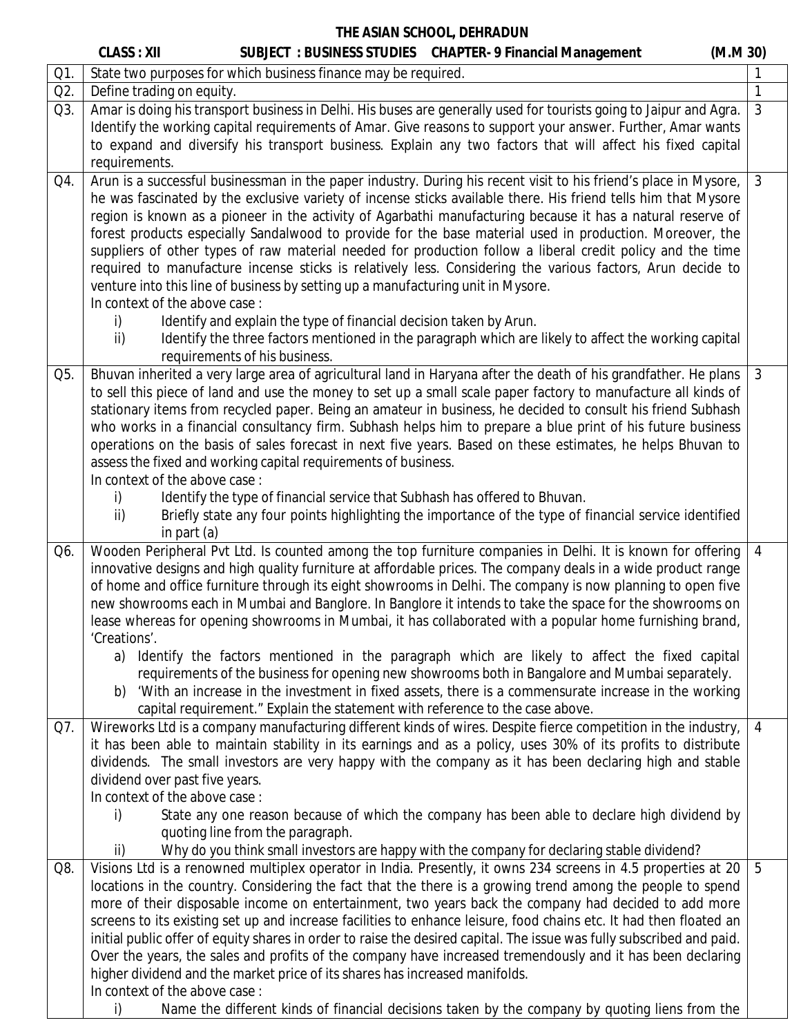|     | <b>CLASS: XII</b><br>SUBJECT: BUSINESS STUDIES CHAPTER- 9 Financial Management<br>(M.M 30)                                                                                                                                                                                                                                                                                                                                                                                                                                                                                                                                                                                                                                                                                                                                                                                                 |                |
|-----|--------------------------------------------------------------------------------------------------------------------------------------------------------------------------------------------------------------------------------------------------------------------------------------------------------------------------------------------------------------------------------------------------------------------------------------------------------------------------------------------------------------------------------------------------------------------------------------------------------------------------------------------------------------------------------------------------------------------------------------------------------------------------------------------------------------------------------------------------------------------------------------------|----------------|
| Q1. | State two purposes for which business finance may be required.                                                                                                                                                                                                                                                                                                                                                                                                                                                                                                                                                                                                                                                                                                                                                                                                                             |                |
| Q2. | Define trading on equity.                                                                                                                                                                                                                                                                                                                                                                                                                                                                                                                                                                                                                                                                                                                                                                                                                                                                  | $\mathbf{1}$   |
| Q3. | Amar is doing his transport business in Delhi. His buses are generally used for tourists going to Jaipur and Agra.                                                                                                                                                                                                                                                                                                                                                                                                                                                                                                                                                                                                                                                                                                                                                                         | $\mathfrak{Z}$ |
|     | Identify the working capital requirements of Amar. Give reasons to support your answer. Further, Amar wants                                                                                                                                                                                                                                                                                                                                                                                                                                                                                                                                                                                                                                                                                                                                                                                |                |
|     | to expand and diversify his transport business. Explain any two factors that will affect his fixed capital                                                                                                                                                                                                                                                                                                                                                                                                                                                                                                                                                                                                                                                                                                                                                                                 |                |
|     | requirements.                                                                                                                                                                                                                                                                                                                                                                                                                                                                                                                                                                                                                                                                                                                                                                                                                                                                              |                |
| Q4. | Arun is a successful businessman in the paper industry. During his recent visit to his friend's place in Mysore,<br>he was fascinated by the exclusive variety of incense sticks available there. His friend tells him that Mysore<br>region is known as a pioneer in the activity of Agarbathi manufacturing because it has a natural reserve of<br>forest products especially Sandalwood to provide for the base material used in production. Moreover, the<br>suppliers of other types of raw material needed for production follow a liberal credit policy and the time<br>required to manufacture incense sticks is relatively less. Considering the various factors, Arun decide to<br>venture into this line of business by setting up a manufacturing unit in Mysore.<br>In context of the above case:<br>Identify and explain the type of financial decision taken by Arun.<br>i) | $\mathbf{3}$   |
|     | ii)<br>Identify the three factors mentioned in the paragraph which are likely to affect the working capital<br>requirements of his business.                                                                                                                                                                                                                                                                                                                                                                                                                                                                                                                                                                                                                                                                                                                                               |                |
| Q5. | Bhuvan inherited a very large area of agricultural land in Haryana after the death of his grandfather. He plans<br>to sell this piece of land and use the money to set up a small scale paper factory to manufacture all kinds of<br>stationary items from recycled paper. Being an amateur in business, he decided to consult his friend Subhash<br>who works in a financial consultancy firm. Subhash helps him to prepare a blue print of his future business<br>operations on the basis of sales forecast in next five years. Based on these estimates, he helps Bhuvan to<br>assess the fixed and working capital requirements of business.<br>In context of the above case:                                                                                                                                                                                                          | $\mathbf{3}$   |
|     | Identify the type of financial service that Subhash has offered to Bhuvan.<br>i)<br>Briefly state any four points highlighting the importance of the type of financial service identified<br>ii)<br>in part (a)                                                                                                                                                                                                                                                                                                                                                                                                                                                                                                                                                                                                                                                                            |                |
| Q6. | Wooden Peripheral Pvt Ltd. Is counted among the top furniture companies in Delhi. It is known for offering<br>innovative designs and high quality furniture at affordable prices. The company deals in a wide product range<br>of home and office furniture through its eight showrooms in Delhi. The company is now planning to open five<br>new showrooms each in Mumbai and Banglore. In Banglore it intends to take the space for the showrooms on<br>lease whereas for opening showrooms in Mumbai, it has collaborated with a popular home furnishing brand,<br>'Creations'.<br>a) Identify the factors mentioned in the paragraph which are likely to affect the fixed capital                                                                                                                                                                                                      | $\overline{4}$ |
|     | requirements of the business for opening new showrooms both in Bangalore and Mumbai separately.<br>'With an increase in the investment in fixed assets, there is a commensurate increase in the working<br>b)                                                                                                                                                                                                                                                                                                                                                                                                                                                                                                                                                                                                                                                                              |                |
|     | capital requirement." Explain the statement with reference to the case above.                                                                                                                                                                                                                                                                                                                                                                                                                                                                                                                                                                                                                                                                                                                                                                                                              |                |
| Q7. | Wireworks Ltd is a company manufacturing different kinds of wires. Despite fierce competition in the industry,<br>it has been able to maintain stability in its earnings and as a policy, uses 30% of its profits to distribute<br>dividends. The small investors are very happy with the company as it has been declaring high and stable<br>dividend over past five years.<br>In context of the above case:                                                                                                                                                                                                                                                                                                                                                                                                                                                                              | $\overline{4}$ |
|     | State any one reason because of which the company has been able to declare high dividend by<br>i)<br>quoting line from the paragraph.                                                                                                                                                                                                                                                                                                                                                                                                                                                                                                                                                                                                                                                                                                                                                      |                |
|     | Why do you think small investors are happy with the company for declaring stable dividend?<br>ii)                                                                                                                                                                                                                                                                                                                                                                                                                                                                                                                                                                                                                                                                                                                                                                                          |                |
| Q8. | Visions Ltd is a renowned multiplex operator in India. Presently, it owns 234 screens in 4.5 properties at 20<br>locations in the country. Considering the fact that the there is a growing trend among the people to spend<br>more of their disposable income on entertainment, two years back the company had decided to add more<br>screens to its existing set up and increase facilities to enhance leisure, food chains etc. It had then floated an<br>initial public offer of equity shares in order to raise the desired capital. The issue was fully subscribed and paid.<br>Over the years, the sales and profits of the company have increased tremendously and it has been declaring<br>higher dividend and the market price of its shares has increased manifolds.<br>In context of the above case:                                                                           | 5              |
|     | Name the different kinds of financial decisions taken by the company by quoting liens from the<br>i)                                                                                                                                                                                                                                                                                                                                                                                                                                                                                                                                                                                                                                                                                                                                                                                       |                |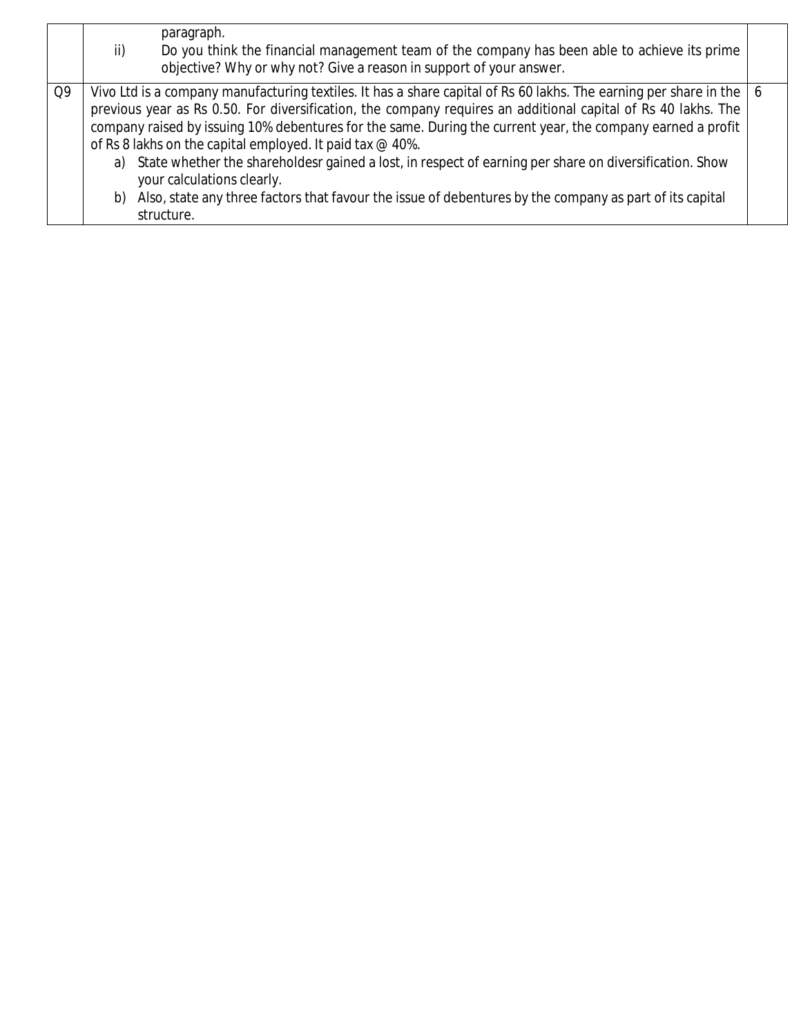|    | paragraph.<br>Do you think the financial management team of the company has been able to achieve its prime<br>ii)<br>objective? Why or why not? Give a reason in support of your answer.                                                                                                                                                                                                                                                                                                                                                                                                                                                                                                  |  |
|----|-------------------------------------------------------------------------------------------------------------------------------------------------------------------------------------------------------------------------------------------------------------------------------------------------------------------------------------------------------------------------------------------------------------------------------------------------------------------------------------------------------------------------------------------------------------------------------------------------------------------------------------------------------------------------------------------|--|
| Q9 | Vivo Ltd is a company manufacturing textiles. It has a share capital of Rs 60 lakhs. The earning per share in the   6<br>previous year as Rs 0.50. For diversification, the company requires an additional capital of Rs 40 lakhs. The<br>company raised by issuing 10% debentures for the same. During the current year, the company earned a profit<br>of Rs 8 lakhs on the capital employed. It paid tax @ 40%.<br>a) State whether the shareholdesr gained a lost, in respect of earning per share on diversification. Show<br>your calculations clearly.<br>b) Also, state any three factors that favour the issue of debentures by the company as part of its capital<br>structure. |  |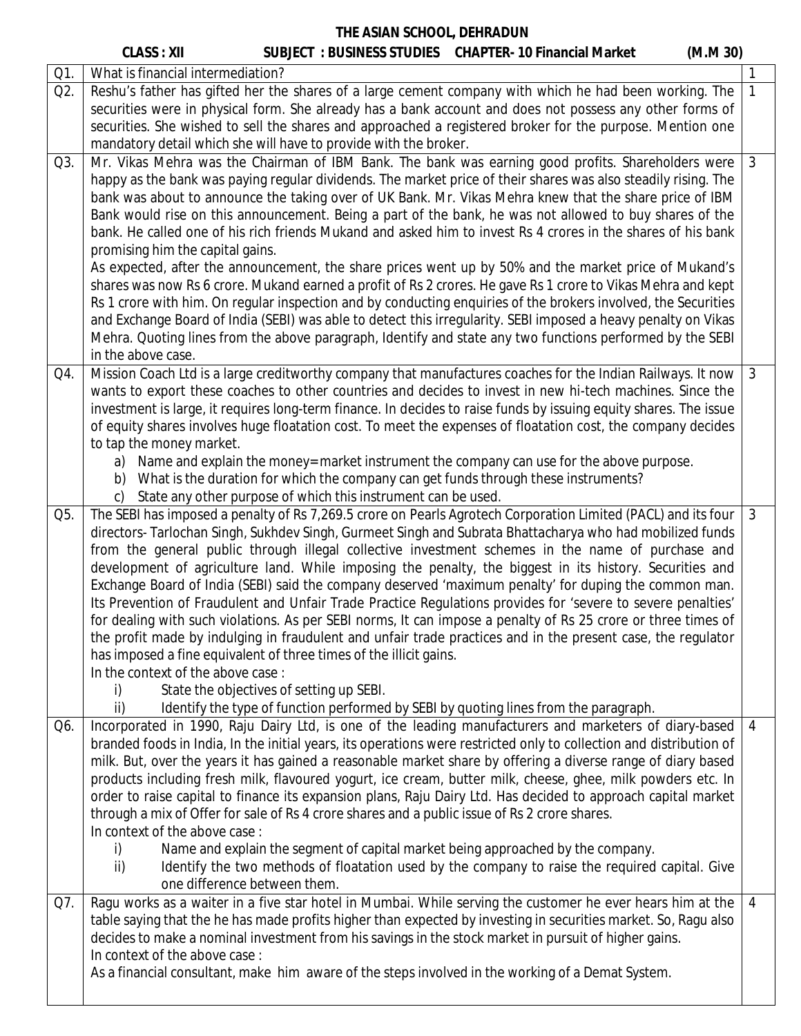|     | <b>CLASS: XII</b>                                                  |                                                               | <b>SUBJECT : BUSINESS STUDIES CHAPTER-10 Financial Market</b>                                                                                                                                                         | (M.M.30) |                |
|-----|--------------------------------------------------------------------|---------------------------------------------------------------|-----------------------------------------------------------------------------------------------------------------------------------------------------------------------------------------------------------------------|----------|----------------|
| Q1. | What is financial intermediation?                                  |                                                               |                                                                                                                                                                                                                       |          | 1              |
| Q2. |                                                                    |                                                               | Reshu's father has gifted her the shares of a large cement company with which he had been working. The                                                                                                                |          | $\mathbf{1}$   |
|     |                                                                    |                                                               | securities were in physical form. She already has a bank account and does not possess any other forms of                                                                                                              |          |                |
|     |                                                                    |                                                               | securities. She wished to sell the shares and approached a registered broker for the purpose. Mention one                                                                                                             |          |                |
|     | mandatory detail which she will have to provide with the broker.   |                                                               |                                                                                                                                                                                                                       |          |                |
| Q3. |                                                                    |                                                               | Mr. Vikas Mehra was the Chairman of IBM Bank. The bank was earning good profits. Shareholders were                                                                                                                    |          | $\mathfrak{Z}$ |
|     |                                                                    |                                                               | happy as the bank was paying regular dividends. The market price of their shares was also steadily rising. The                                                                                                        |          |                |
|     |                                                                    |                                                               | bank was about to announce the taking over of UK Bank. Mr. Vikas Mehra knew that the share price of IBM                                                                                                               |          |                |
|     |                                                                    |                                                               | Bank would rise on this announcement. Being a part of the bank, he was not allowed to buy shares of the                                                                                                               |          |                |
|     |                                                                    |                                                               | bank. He called one of his rich friends Mukand and asked him to invest Rs 4 crores in the shares of his bank                                                                                                          |          |                |
|     | promising him the capital gains.                                   |                                                               |                                                                                                                                                                                                                       |          |                |
|     |                                                                    |                                                               | As expected, after the announcement, the share prices went up by 50% and the market price of Mukand's<br>shares was now Rs 6 crore. Mukand earned a profit of Rs 2 crores. He gave Rs 1 crore to Vikas Mehra and kept |          |                |
|     |                                                                    |                                                               | Rs 1 crore with him. On regular inspection and by conducting enquiries of the brokers involved, the Securities                                                                                                        |          |                |
|     |                                                                    |                                                               | and Exchange Board of India (SEBI) was able to detect this irregularity. SEBI imposed a heavy penalty on Vikas                                                                                                        |          |                |
|     |                                                                    |                                                               | Mehra. Quoting lines from the above paragraph, Identify and state any two functions performed by the SEBI                                                                                                             |          |                |
|     | in the above case.                                                 |                                                               |                                                                                                                                                                                                                       |          |                |
| Q4. |                                                                    |                                                               | Mission Coach Ltd is a large creditworthy company that manufactures coaches for the Indian Railways. It now                                                                                                           |          | $\mathfrak{Z}$ |
|     |                                                                    |                                                               | wants to export these coaches to other countries and decides to invest in new hi-tech machines. Since the                                                                                                             |          |                |
|     |                                                                    |                                                               | investment is large, it requires long-term finance. In decides to raise funds by issuing equity shares. The issue                                                                                                     |          |                |
|     |                                                                    |                                                               | of equity shares involves huge floatation cost. To meet the expenses of floatation cost, the company decides                                                                                                          |          |                |
|     | to tap the money market.                                           |                                                               |                                                                                                                                                                                                                       |          |                |
|     |                                                                    |                                                               | a) Name and explain the money= market instrument the company can use for the above purpose.                                                                                                                           |          |                |
|     |                                                                    |                                                               | b) What is the duration for which the company can get funds through these instruments?                                                                                                                                |          |                |
|     |                                                                    | State any other purpose of which this instrument can be used. |                                                                                                                                                                                                                       |          |                |
| Q5. |                                                                    |                                                               | The SEBI has imposed a penalty of Rs 7,269.5 crore on Pearls Agrotech Corporation Limited (PACL) and its four                                                                                                         |          | 3              |
|     |                                                                    |                                                               | directors- Tarlochan Singh, Sukhdev Singh, Gurmeet Singh and Subrata Bhattacharya who had mobilized funds                                                                                                             |          |                |
|     |                                                                    |                                                               | from the general public through illegal collective investment schemes in the name of purchase and                                                                                                                     |          |                |
|     |                                                                    |                                                               | development of agriculture land. While imposing the penalty, the biggest in its history. Securities and<br>Exchange Board of India (SEBI) said the company deserved 'maximum penalty' for duping the common man.      |          |                |
|     |                                                                    |                                                               | Its Prevention of Fraudulent and Unfair Trade Practice Regulations provides for 'severe to severe penalties'                                                                                                          |          |                |
|     |                                                                    |                                                               | for dealing with such violations. As per SEBI norms, It can impose a penalty of Rs 25 crore or three times of                                                                                                         |          |                |
|     |                                                                    |                                                               | the profit made by indulging in fraudulent and unfair trade practices and in the present case, the regulator                                                                                                          |          |                |
|     | has imposed a fine equivalent of three times of the illicit gains. |                                                               |                                                                                                                                                                                                                       |          |                |
|     | In the context of the above case:                                  |                                                               |                                                                                                                                                                                                                       |          |                |
|     | State the objectives of setting up SEBI.<br>i)                     |                                                               |                                                                                                                                                                                                                       |          |                |
|     | ii)                                                                |                                                               | Identify the type of function performed by SEBI by quoting lines from the paragraph.                                                                                                                                  |          |                |
| Q6. |                                                                    |                                                               | Incorporated in 1990, Raju Dairy Ltd, is one of the leading manufacturers and marketers of diary-based                                                                                                                |          | 4              |
|     |                                                                    |                                                               | branded foods in India, In the initial years, its operations were restricted only to collection and distribution of                                                                                                   |          |                |
|     |                                                                    |                                                               | milk. But, over the years it has gained a reasonable market share by offering a diverse range of diary based                                                                                                          |          |                |
|     |                                                                    |                                                               | products including fresh milk, flavoured yogurt, ice cream, butter milk, cheese, ghee, milk powders etc. In                                                                                                           |          |                |
|     |                                                                    |                                                               | order to raise capital to finance its expansion plans, Raju Dairy Ltd. Has decided to approach capital market                                                                                                         |          |                |
|     |                                                                    |                                                               | through a mix of Offer for sale of Rs 4 crore shares and a public issue of Rs 2 crore shares.                                                                                                                         |          |                |
|     | In context of the above case:                                      |                                                               |                                                                                                                                                                                                                       |          |                |
|     | i)<br>ii)                                                          |                                                               | Name and explain the segment of capital market being approached by the company.<br>Identify the two methods of floatation used by the company to raise the required capital. Give                                     |          |                |
|     | one difference between them.                                       |                                                               |                                                                                                                                                                                                                       |          |                |
| Q7. |                                                                    |                                                               | Ragu works as a waiter in a five star hotel in Mumbai. While serving the customer he ever hears him at the                                                                                                            |          | $\overline{4}$ |
|     |                                                                    |                                                               | table saying that the he has made profits higher than expected by investing in securities market. So, Ragu also                                                                                                       |          |                |
|     |                                                                    |                                                               | decides to make a nominal investment from his savings in the stock market in pursuit of higher gains.                                                                                                                 |          |                |
|     | In context of the above case:                                      |                                                               |                                                                                                                                                                                                                       |          |                |
|     |                                                                    |                                                               | As a financial consultant, make him aware of the steps involved in the working of a Demat System.                                                                                                                     |          |                |
|     |                                                                    |                                                               |                                                                                                                                                                                                                       |          |                |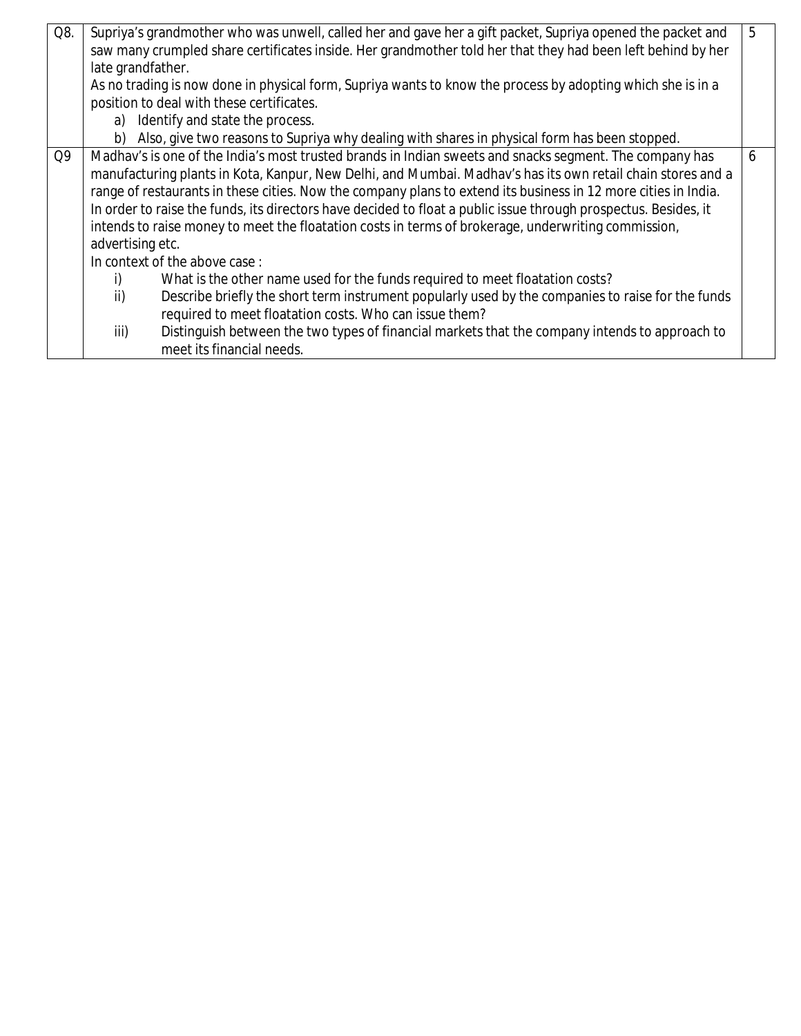| Q8. | late grandfather.                                                                                                                                                                                                                                                                                                                                                                                                                                                                                                                                                                      | Supriya's grandmother who was unwell, called her and gave her a gift packet, Supriya opened the packet and<br>saw many crumpled share certificates inside. Her grandmother told her that they had been left behind by her<br>As no trading is now done in physical form, Supriya wants to know the process by adopting which she is in a<br>position to deal with these certificates.<br>a) Identify and state the process.<br>b) Also, give two reasons to Supriya why dealing with shares in physical form has been stopped. | 5 |
|-----|----------------------------------------------------------------------------------------------------------------------------------------------------------------------------------------------------------------------------------------------------------------------------------------------------------------------------------------------------------------------------------------------------------------------------------------------------------------------------------------------------------------------------------------------------------------------------------------|--------------------------------------------------------------------------------------------------------------------------------------------------------------------------------------------------------------------------------------------------------------------------------------------------------------------------------------------------------------------------------------------------------------------------------------------------------------------------------------------------------------------------------|---|
| Q9  | Madhav's is one of the India's most trusted brands in Indian sweets and snacks segment. The company has<br>manufacturing plants in Kota, Kanpur, New Delhi, and Mumbai. Madhav's has its own retail chain stores and a<br>range of restaurants in these cities. Now the company plans to extend its business in 12 more cities in India.<br>In order to raise the funds, its directors have decided to float a public issue through prospectus. Besides, it<br>intends to raise money to meet the floatation costs in terms of brokerage, underwriting commission,<br>advertising etc. |                                                                                                                                                                                                                                                                                                                                                                                                                                                                                                                                |   |
|     |                                                                                                                                                                                                                                                                                                                                                                                                                                                                                                                                                                                        | In context of the above case:                                                                                                                                                                                                                                                                                                                                                                                                                                                                                                  |   |
|     | i)                                                                                                                                                                                                                                                                                                                                                                                                                                                                                                                                                                                     | What is the other name used for the funds required to meet floatation costs?                                                                                                                                                                                                                                                                                                                                                                                                                                                   |   |
|     | ii)                                                                                                                                                                                                                                                                                                                                                                                                                                                                                                                                                                                    | Describe briefly the short term instrument popularly used by the companies to raise for the funds<br>required to meet floatation costs. Who can issue them?                                                                                                                                                                                                                                                                                                                                                                    |   |
|     | iii)                                                                                                                                                                                                                                                                                                                                                                                                                                                                                                                                                                                   | Distinguish between the two types of financial markets that the company intends to approach to<br>meet its financial needs.                                                                                                                                                                                                                                                                                                                                                                                                    |   |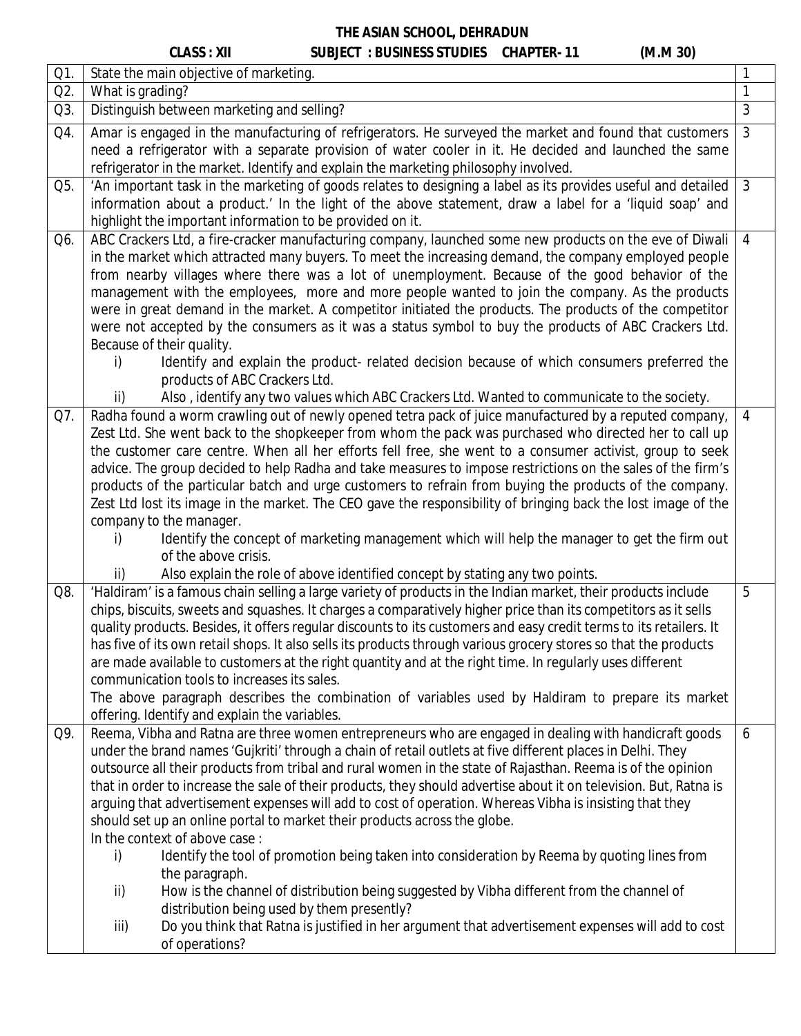# **CLASS : XII SUBJECT : BUSINESS STUDIES CHAPTER- 11 (M.M 30)**

| Q1. | State the main objective of marketing.                                                                                                                                                                                                                                                                                                                                                                                                                                                                                                                                                                                                                                                                                                                                                                                                                                                                                                                                                                                                                                                    |                |  |
|-----|-------------------------------------------------------------------------------------------------------------------------------------------------------------------------------------------------------------------------------------------------------------------------------------------------------------------------------------------------------------------------------------------------------------------------------------------------------------------------------------------------------------------------------------------------------------------------------------------------------------------------------------------------------------------------------------------------------------------------------------------------------------------------------------------------------------------------------------------------------------------------------------------------------------------------------------------------------------------------------------------------------------------------------------------------------------------------------------------|----------------|--|
| Q2. | What is grading?                                                                                                                                                                                                                                                                                                                                                                                                                                                                                                                                                                                                                                                                                                                                                                                                                                                                                                                                                                                                                                                                          |                |  |
| Q3. | Distinguish between marketing and selling?                                                                                                                                                                                                                                                                                                                                                                                                                                                                                                                                                                                                                                                                                                                                                                                                                                                                                                                                                                                                                                                | 3              |  |
| Q4. | Amar is engaged in the manufacturing of refrigerators. He surveyed the market and found that customers<br>need a refrigerator with a separate provision of water cooler in it. He decided and launched the same<br>refrigerator in the market. Identify and explain the marketing philosophy involved.                                                                                                                                                                                                                                                                                                                                                                                                                                                                                                                                                                                                                                                                                                                                                                                    | 3              |  |
| Q5. | 'An important task in the marketing of goods relates to designing a label as its provides useful and detailed<br>information about a product.' In the light of the above statement, draw a label for a 'liquid soap' and<br>highlight the important information to be provided on it.                                                                                                                                                                                                                                                                                                                                                                                                                                                                                                                                                                                                                                                                                                                                                                                                     | $\mathbf{3}$   |  |
| Q6. | ABC Crackers Ltd, a fire-cracker manufacturing company, launched some new products on the eve of Diwali<br>in the market which attracted many buyers. To meet the increasing demand, the company employed people<br>from nearby villages where there was a lot of unemployment. Because of the good behavior of the<br>management with the employees, more and more people wanted to join the company. As the products<br>were in great demand in the market. A competitor initiated the products. The products of the competitor<br>were not accepted by the consumers as it was a status symbol to buy the products of ABC Crackers Ltd.<br>Because of their quality.<br>Identify and explain the product- related decision because of which consumers preferred the<br>i)<br>products of ABC Crackers Ltd.<br>ii)<br>Also, identify any two values which ABC Crackers Ltd. Wanted to communicate to the society.                                                                                                                                                                       | $\overline{4}$ |  |
| Q7. | Radha found a worm crawling out of newly opened tetra pack of juice manufactured by a reputed company,<br>Zest Ltd. She went back to the shopkeeper from whom the pack was purchased who directed her to call up<br>the customer care centre. When all her efforts fell free, she went to a consumer activist, group to seek<br>advice. The group decided to help Radha and take measures to impose restrictions on the sales of the firm's<br>products of the particular batch and urge customers to refrain from buying the products of the company.<br>Zest Ltd lost its image in the market. The CEO gave the responsibility of bringing back the lost image of the<br>company to the manager.<br>Identify the concept of marketing management which will help the manager to get the firm out<br>i)<br>of the above crisis.                                                                                                                                                                                                                                                          | $\overline{4}$ |  |
| Q8. | Also explain the role of above identified concept by stating any two points.<br>ii)<br>'Haldiram' is a famous chain selling a large variety of products in the Indian market, their products include<br>chips, biscuits, sweets and squashes. It charges a comparatively higher price than its competitors as it sells<br>quality products. Besides, it offers regular discounts to its customers and easy credit terms to its retailers. It<br>has five of its own retail shops. It also sells its products through various grocery stores so that the products<br>are made available to customers at the right quantity and at the right time. In regularly uses different<br>communication tools to increases its sales.<br>The above paragraph describes the combination of variables used by Haldiram to prepare its market<br>offering. Identify and explain the variables.                                                                                                                                                                                                         | 5              |  |
| Q9. | Reema, Vibha and Ratna are three women entrepreneurs who are engaged in dealing with handicraft goods<br>under the brand names 'Gujkriti' through a chain of retail outlets at five different places in Delhi. They<br>outsource all their products from tribal and rural women in the state of Rajasthan. Reema is of the opinion<br>that in order to increase the sale of their products, they should advertise about it on television. But, Ratna is<br>arguing that advertisement expenses will add to cost of operation. Whereas Vibha is insisting that they<br>should set up an online portal to market their products across the globe.<br>In the context of above case:<br>Identify the tool of promotion being taken into consideration by Reema by quoting lines from<br>i)<br>the paragraph.<br>How is the channel of distribution being suggested by Vibha different from the channel of<br>ii)<br>distribution being used by them presently?<br>Do you think that Ratna is justified in her argument that advertisement expenses will add to cost<br>iii)<br>of operations? | 6              |  |